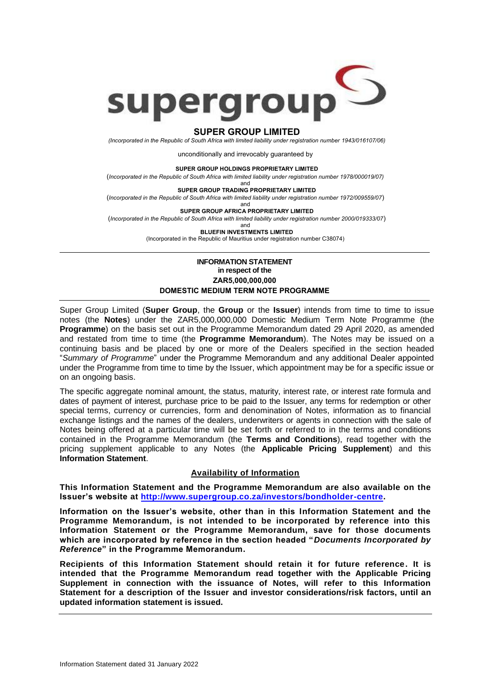

## **SUPER GROUP LIMITED**

*(Incorporated in the Republic of South Africa with limited liability under registration number 1943/016107/06)*

unconditionally and irrevocably guaranteed by

**SUPER GROUP HOLDINGS PROPRIETARY LIMITED**

(*Incorporated in the Republic of South Africa with limited liability under registration number 1978/000019/07)*

and **SUPER GROUP TRADING PROPRIETARY LIMITED**

(*Incorporated in the Republic of South Africa with limited liability under registration number 1972/009559/07*)

and **SUPER GROUP AFRICA PROPRIETARY LIMITED**

(*Incorporated in the Republic of South Africa with limited liability under registration number 2000/019333/07*)

and

**BLUEFIN INVESTMENTS LIMITED** (Incorporated in the Republic of Mauritius under registration number C38074)

## **INFORMATION STATEMENT in respect of the ZAR5,000,000,000 DOMESTIC MEDIUM TERM NOTE PROGRAMME**

Super Group Limited (**Super Group**, the **Group** or the **Issuer**) intends from time to time to issue notes (the **Notes**) under the ZAR5,000,000,000 Domestic Medium Term Note Programme (the **Programme**) on the basis set out in the Programme Memorandum dated 29 April 2020, as amended and restated from time to time (the **Programme Memorandum**). The Notes may be issued on a continuing basis and be placed by one or more of the Dealers specified in the section headed "*Summary of Programme*" under the Programme Memorandum and any additional Dealer appointed under the Programme from time to time by the Issuer, which appointment may be for a specific issue or on an ongoing basis.

The specific aggregate nominal amount, the status, maturity, interest rate, or interest rate formula and dates of payment of interest, purchase price to be paid to the Issuer, any terms for redemption or other special terms, currency or currencies, form and denomination of Notes, information as to financial exchange listings and the names of the dealers, underwriters or agents in connection with the sale of Notes being offered at a particular time will be set forth or referred to in the terms and conditions contained in the Programme Memorandum (the **Terms and Conditions**), read together with the pricing supplement applicable to any Notes (the **Applicable Pricing Supplement**) and this **Information Statement**.

## **Availability of Information**

**This Information Statement and the Programme Memorandum are also available on the Issuer's website at [http://www.supergroup.co.za/investors/bondholder-centre.](http://www.supergroup.co.za/investors/bondholder-centre)**

**Information on the Issuer's website, other than in this Information Statement and the Programme Memorandum, is not intended to be incorporated by reference into this Information Statement or the Programme Memorandum, save for those documents which are incorporated by reference in the section headed "***Documents Incorporated by Reference***" in the Programme Memorandum.**

**Recipients of this Information Statement should retain it for future reference. It is intended that the Programme Memorandum read together with the Applicable Pricing Supplement in connection with the issuance of Notes, will refer to this Information Statement for a description of the Issuer and investor considerations/risk factors, until an updated information statement is issued.**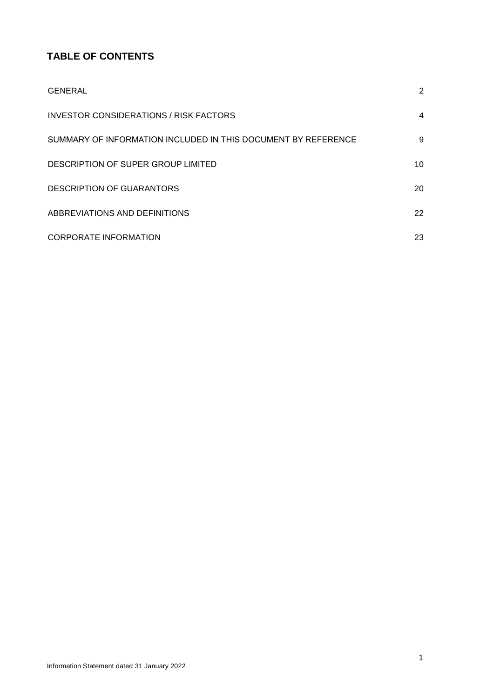# **TABLE OF CONTENTS**

| <b>GENERAL</b>                                                | 2  |
|---------------------------------------------------------------|----|
| INVESTOR CONSIDERATIONS / RISK FACTORS                        | 4  |
| SUMMARY OF INFORMATION INCLUDED IN THIS DOCUMENT BY REFERENCE | 9  |
| DESCRIPTION OF SUPER GROUP LIMITED                            | 10 |
| <b>DESCRIPTION OF GUARANTORS</b>                              | 20 |
| ABBREVIATIONS AND DEFINITIONS                                 | 22 |
| <b>CORPORATE INFORMATION</b>                                  | 23 |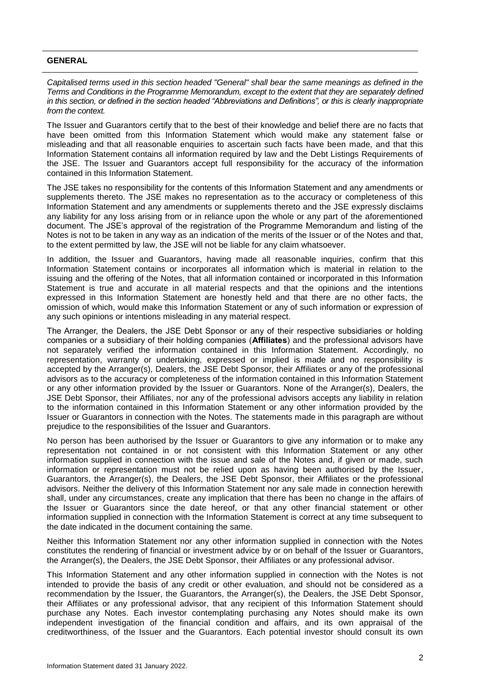## <span id="page-2-0"></span>**GENERAL**

*Capitalised terms used in this section headed "General" shall bear the same meanings as defined in the Terms and Conditions in the Programme Memorandum, except to the extent that they are separately defined in this section, or defined in the section headed "Abbreviations and Definitions", or this is clearly inappropriate from the context.* 

The Issuer and Guarantors certify that to the best of their knowledge and belief there are no facts that have been omitted from this Information Statement which would make any statement false or misleading and that all reasonable enquiries to ascertain such facts have been made, and that this Information Statement contains all information required by law and the Debt Listings Requirements of the JSE. The Issuer and Guarantors accept full responsibility for the accuracy of the information contained in this Information Statement.

The JSE takes no responsibility for the contents of this Information Statement and any amendments or supplements thereto. The JSE makes no representation as to the accuracy or completeness of this Information Statement and any amendments or supplements thereto and the JSE expressly disclaims any liability for any loss arising from or in reliance upon the whole or any part of the aforementioned document. The JSE's approval of the registration of the Programme Memorandum and listing of the Notes is not to be taken in any way as an indication of the merits of the Issuer or of the Notes and that, to the extent permitted by law, the JSE will not be liable for any claim whatsoever.

In addition, the Issuer and Guarantors, having made all reasonable inquiries, confirm that this Information Statement contains or incorporates all information which is material in relation to the issuing and the offering of the Notes, that all information contained or incorporated in this Information Statement is true and accurate in all material respects and that the opinions and the intentions expressed in this Information Statement are honestly held and that there are no other facts, the omission of which, would make this Information Statement or any of such information or expression of any such opinions or intentions misleading in any material respect.

The Arranger, the Dealers, the JSE Debt Sponsor or any of their respective subsidiaries or holding companies or a subsidiary of their holding companies (**Affiliates**) and the professional advisors have not separately verified the information contained in this Information Statement. Accordingly, no representation, warranty or undertaking, expressed or implied is made and no responsibility is accepted by the Arranger(s), Dealers, the JSE Debt Sponsor, their Affiliates or any of the professional advisors as to the accuracy or completeness of the information contained in this Information Statement or any other information provided by the Issuer or Guarantors. None of the Arranger(s), Dealers, the JSE Debt Sponsor, their Affiliates, nor any of the professional advisors accepts any liability in relation to the information contained in this Information Statement or any other information provided by the Issuer or Guarantors in connection with the Notes. The statements made in this paragraph are without prejudice to the responsibilities of the Issuer and Guarantors.

No person has been authorised by the Issuer or Guarantors to give any information or to make any representation not contained in or not consistent with this Information Statement or any other information supplied in connection with the issue and sale of the Notes and, if given or made, such information or representation must not be relied upon as having been authorised by the Issuer, Guarantors, the Arranger(s), the Dealers, the JSE Debt Sponsor, their Affiliates or the professional advisors. Neither the delivery of this Information Statement nor any sale made in connection herewith shall, under any circumstances, create any implication that there has been no change in the affairs of the Issuer or Guarantors since the date hereof, or that any other financial statement or other information supplied in connection with the Information Statement is correct at any time subsequent to the date indicated in the document containing the same.

Neither this Information Statement nor any other information supplied in connection with the Notes constitutes the rendering of financial or investment advice by or on behalf of the Issuer or Guarantors, the Arranger(s), the Dealers, the JSE Debt Sponsor, their Affiliates or any professional advisor.

This Information Statement and any other information supplied in connection with the Notes is not intended to provide the basis of any credit or other evaluation, and should not be considered as a recommendation by the Issuer, the Guarantors, the Arranger(s), the Dealers, the JSE Debt Sponsor, their Affiliates or any professional advisor, that any recipient of this Information Statement should purchase any Notes. Each investor contemplating purchasing any Notes should make its own independent investigation of the financial condition and affairs, and its own appraisal of the creditworthiness, of the Issuer and the Guarantors. Each potential investor should consult its own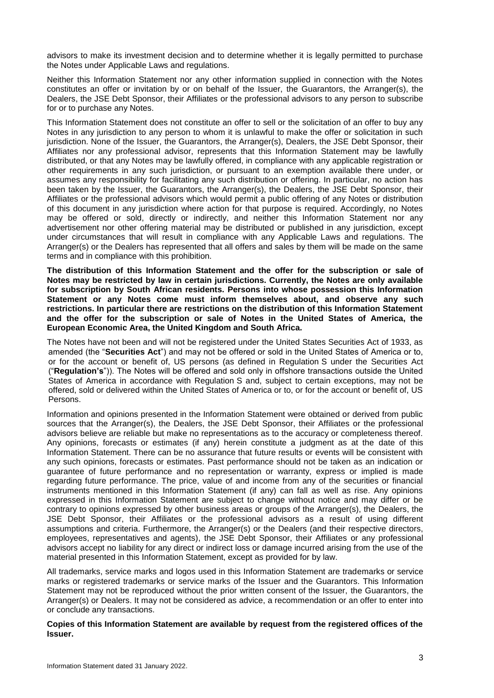advisors to make its investment decision and to determine whether it is legally permitted to purchase the Notes under Applicable Laws and regulations.

Neither this Information Statement nor any other information supplied in connection with the Notes constitutes an offer or invitation by or on behalf of the Issuer, the Guarantors, the Arranger(s), the Dealers, the JSE Debt Sponsor, their Affiliates or the professional advisors to any person to subscribe for or to purchase any Notes.

This Information Statement does not constitute an offer to sell or the solicitation of an offer to buy any Notes in any jurisdiction to any person to whom it is unlawful to make the offer or solicitation in such jurisdiction. None of the Issuer, the Guarantors, the Arranger(s), Dealers, the JSE Debt Sponsor, their Affiliates nor any professional advisor, represents that this Information Statement may be lawfully distributed, or that any Notes may be lawfully offered, in compliance with any applicable registration or other requirements in any such jurisdiction, or pursuant to an exemption available there under, or assumes any responsibility for facilitating any such distribution or offering. In particular, no action has been taken by the Issuer, the Guarantors, the Arranger(s), the Dealers, the JSE Debt Sponsor, their Affiliates or the professional advisors which would permit a public offering of any Notes or distribution of this document in any jurisdiction where action for that purpose is required. Accordingly, no Notes may be offered or sold, directly or indirectly, and neither this Information Statement nor any advertisement nor other offering material may be distributed or published in any jurisdiction, except under circumstances that will result in compliance with any Applicable Laws and regulations. The Arranger(s) or the Dealers has represented that all offers and sales by them will be made on the same terms and in compliance with this prohibition.

**The distribution of this Information Statement and the offer for the subscription or sale of Notes may be restricted by law in certain jurisdictions. Currently, the Notes are only available for subscription by South African residents. Persons into whose possession this Information Statement or any Notes come must inform themselves about, and observe any such restrictions. In particular there are restrictions on the distribution of this Information Statement and the offer for the subscription or sale of Notes in the United States of America, the European Economic Area, the United Kingdom and South Africa.**

The Notes have not been and will not be registered under the United States Securities Act of 1933, as amended (the "**Securities Act**") and may not be offered or sold in the United States of America or to, or for the account or benefit of, US persons (as defined in Regulation S under the Securities Act ("**Regulation's**")). The Notes will be offered and sold only in offshore transactions outside the United States of America in accordance with Regulation S and, subject to certain exceptions, may not be offered, sold or delivered within the United States of America or to, or for the account or benefit of, US Persons.

Information and opinions presented in the Information Statement were obtained or derived from public sources that the Arranger(s), the Dealers, the JSE Debt Sponsor, their Affiliates or the professional advisors believe are reliable but make no representations as to the accuracy or completeness thereof. Any opinions, forecasts or estimates (if any) herein constitute a judgment as at the date of this Information Statement. There can be no assurance that future results or events will be consistent with any such opinions, forecasts or estimates. Past performance should not be taken as an indication or guarantee of future performance and no representation or warranty, express or implied is made regarding future performance. The price, value of and income from any of the securities or financial instruments mentioned in this Information Statement (if any) can fall as well as rise. Any opinions expressed in this Information Statement are subject to change without notice and may differ or be contrary to opinions expressed by other business areas or groups of the Arranger(s), the Dealers, the JSE Debt Sponsor, their Affiliates or the professional advisors as a result of using different assumptions and criteria. Furthermore, the Arranger(s) or the Dealers (and their respective directors, employees, representatives and agents), the JSE Debt Sponsor, their Affiliates or any professional advisors accept no liability for any direct or indirect loss or damage incurred arising from the use of the material presented in this Information Statement, except as provided for by law.

All trademarks, service marks and logos used in this Information Statement are trademarks or service marks or registered trademarks or service marks of the Issuer and the Guarantors. This Information Statement may not be reproduced without the prior written consent of the Issuer, the Guarantors, the Arranger(s) or Dealers. It may not be considered as advice, a recommendation or an offer to enter into or conclude any transactions.

**Copies of this Information Statement are available by request from the registered offices of the Issuer.**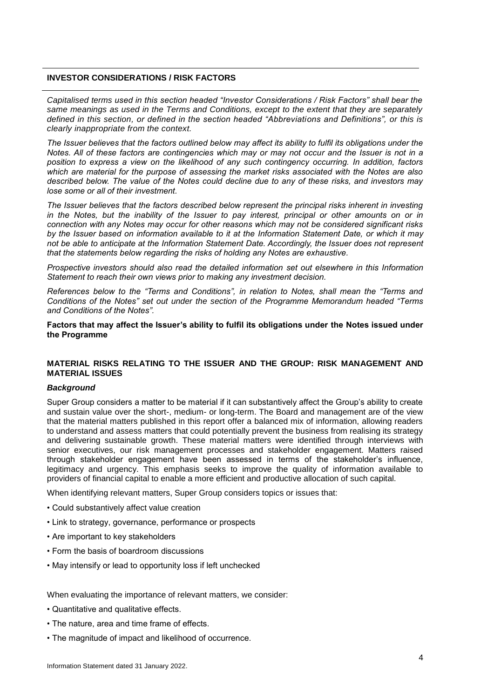## <span id="page-4-0"></span>**INVESTOR CONSIDERATIONS / RISK FACTORS**

*Capitalised terms used in this section headed "Investor Considerations / Risk Factors" shall bear the same meanings as used in the Terms and Conditions, except to the extent that they are separately defined in this section, or defined in the section headed "Abbreviations and Definitions", or this is clearly inappropriate from the context.*

*The Issuer believes that the factors outlined below may affect its ability to fulfil its obligations under the Notes. All of these factors are contingencies which may or may not occur and the Issuer is not in a position to express a view on the likelihood of any such contingency occurring. In addition, factors which are material for the purpose of assessing the market risks associated with the Notes are also described below. The value of the Notes could decline due to any of these risks, and investors may lose some or all of their investment.*

*The Issuer believes that the factors described below represent the principal risks inherent in investing in the Notes, but the inability of the Issuer to pay interest, principal or other amounts on or in connection with any Notes may occur for other reasons which may not be considered significant risks by the Issuer based on information available to it at the Information Statement Date, or which it may not be able to anticipate at the Information Statement Date. Accordingly, the Issuer does not represent that the statements below regarding the risks of holding any Notes are exhaustive.* 

*Prospective investors should also read the detailed information set out elsewhere in this Information Statement to reach their own views prior to making any investment decision.* 

*References below to the "Terms and Conditions", in relation to Notes, shall mean the "Terms and Conditions of the Notes" set out under the section of the Programme Memorandum headed "Terms and Conditions of the Notes".* 

**Factors that may affect the Issuer's ability to fulfil its obligations under the Notes issued under the Programme**

## **MATERIAL RISKS RELATING TO THE ISSUER AND THE GROUP: RISK MANAGEMENT AND MATERIAL ISSUES**

#### *Background*

Super Group considers a matter to be material if it can substantively affect the Group's ability to create and sustain value over the short-, medium- or long-term. The Board and management are of the view that the material matters published in this report offer a balanced mix of information, allowing readers to understand and assess matters that could potentially prevent the business from realising its strategy and delivering sustainable growth. These material matters were identified through interviews with senior executives, our risk management processes and stakeholder engagement. Matters raised through stakeholder engagement have been assessed in terms of the stakeholder's influence, legitimacy and urgency. This emphasis seeks to improve the quality of information available to providers of financial capital to enable a more efficient and productive allocation of such capital.

When identifying relevant matters, Super Group considers topics or issues that:

- Could substantively affect value creation
- Link to strategy, governance, performance or prospects
- Are important to key stakeholders
- Form the basis of boardroom discussions
- May intensify or lead to opportunity loss if left unchecked

When evaluating the importance of relevant matters, we consider:

- Quantitative and qualitative effects.
- The nature, area and time frame of effects.
- The magnitude of impact and likelihood of occurrence.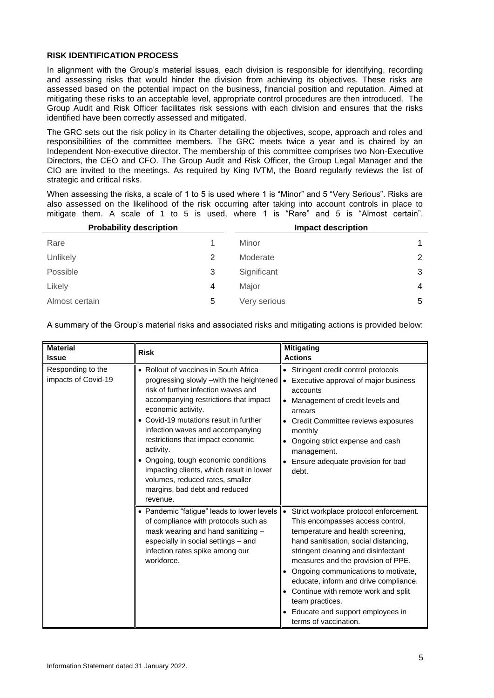## **RISK IDENTIFICATION PROCESS**

In alignment with the Group's material issues, each division is responsible for identifying, recording and assessing risks that would hinder the division from achieving its objectives. These risks are assessed based on the potential impact on the business, financial position and reputation. Aimed at mitigating these risks to an acceptable level, appropriate control procedures are then introduced. The Group Audit and Risk Officer facilitates risk sessions with each division and ensures that the risks identified have been correctly assessed and mitigated.

The GRC sets out the risk policy in its Charter detailing the objectives, scope, approach and roles and responsibilities of the committee members. The GRC meets twice a year and is chaired by an Independent Non-executive director. The membership of this committee comprises two Non-Executive Directors, the CEO and CFO. The Group Audit and Risk Officer, the Group Legal Manager and the CIO are invited to the meetings. As required by King IVTM, the Board regularly reviews the list of strategic and critical risks.

When assessing the risks, a scale of 1 to 5 is used where 1 is "Minor" and 5 "Very Serious". Risks are also assessed on the likelihood of the risk occurring after taking into account controls in place to mitigate them. A scale of 1 to 5 is used, where 1 is "Rare" and 5 is "Almost certain".

| <b>Probability description</b> |   | <b>Impact description</b> |   |
|--------------------------------|---|---------------------------|---|
| Rare                           |   | Minor                     | 1 |
| Unlikely                       | 2 | Moderate                  | 2 |
| Possible                       | 3 | Significant               | 3 |
| Likely                         | 4 | Major                     | 4 |
| Almost certain                 | 5 | Very serious              | 5 |

A summary of the Group's material risks and associated risks and mitigating actions is provided below:

| <b>Material</b>                          | <b>Risk</b>                                                                                                                                                                                                                                                                                                                                                                                                                                                                                | <b>Mitigating</b>                                                                                                                                                                                                                                                                                                                                                                                                                                         |
|------------------------------------------|--------------------------------------------------------------------------------------------------------------------------------------------------------------------------------------------------------------------------------------------------------------------------------------------------------------------------------------------------------------------------------------------------------------------------------------------------------------------------------------------|-----------------------------------------------------------------------------------------------------------------------------------------------------------------------------------------------------------------------------------------------------------------------------------------------------------------------------------------------------------------------------------------------------------------------------------------------------------|
| <b>Issue</b>                             |                                                                                                                                                                                                                                                                                                                                                                                                                                                                                            | <b>Actions</b>                                                                                                                                                                                                                                                                                                                                                                                                                                            |
| Responding to the<br>impacts of Covid-19 | • Rollout of vaccines in South Africa<br>progressing slowly -with the heightened<br>risk of further infection waves and<br>accompanying restrictions that impact<br>economic activity.<br>• Covid-19 mutations result in further<br>infection waves and accompanying<br>restrictions that impact economic<br>activity.<br>• Ongoing, tough economic conditions<br>impacting clients, which result in lower<br>volumes, reduced rates, smaller<br>margins, bad debt and reduced<br>revenue. | Stringent credit control protocols<br>Executive approval of major business<br>I۰<br>accounts<br>Management of credit levels and<br>arrears<br>Credit Committee reviews exposures<br>monthly<br>Ongoing strict expense and cash<br>management.<br>Ensure adequate provision for bad<br>debt.                                                                                                                                                               |
|                                          | • Pandemic "fatigue" leads to lower levels<br>of compliance with protocols such as<br>mask wearing and hand sanitizing -<br>especially in social settings - and<br>infection rates spike among our<br>workforce.                                                                                                                                                                                                                                                                           | Strict workplace protocol enforcement.<br>$\bullet$<br>This encompasses access control,<br>temperature and health screening,<br>hand sanitisation, social distancing,<br>stringent cleaning and disinfectant<br>measures and the provision of PPE.<br>Ongoing communications to motivate,<br>educate, inform and drive compliance.<br>Continue with remote work and split<br>team practices.<br>Educate and support employees in<br>terms of vaccination. |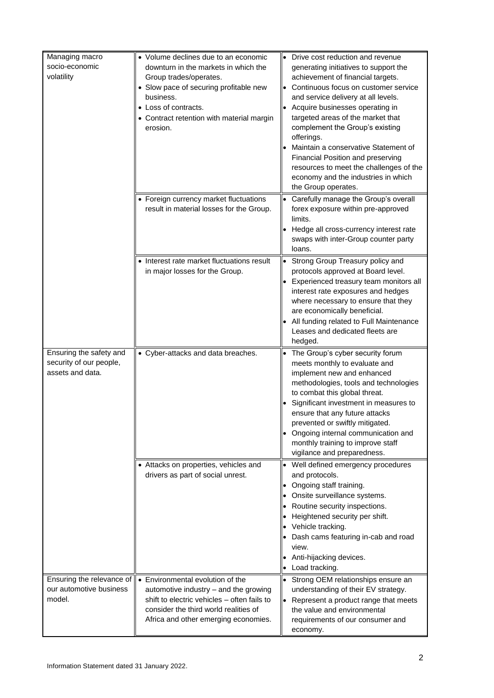| Managing macro<br>socio-economic<br>volatility                         | • Volume declines due to an economic<br>downturn in the markets in which the<br>Group trades/operates.<br>• Slow pace of securing profitable new<br>business.<br>• Loss of contracts.<br>• Contract retention with material margin<br>erosion. | Drive cost reduction and revenue<br>generating initiatives to support the<br>achievement of financial targets.<br>Continuous focus on customer service<br>and service delivery at all levels.<br>Acquire businesses operating in<br>targeted areas of the market that<br>complement the Group's existing<br>offerings.<br>Maintain a conservative Statement of<br>Financial Position and preserving<br>resources to meet the challenges of the<br>economy and the industries in which<br>the Group operates. |
|------------------------------------------------------------------------|------------------------------------------------------------------------------------------------------------------------------------------------------------------------------------------------------------------------------------------------|--------------------------------------------------------------------------------------------------------------------------------------------------------------------------------------------------------------------------------------------------------------------------------------------------------------------------------------------------------------------------------------------------------------------------------------------------------------------------------------------------------------|
|                                                                        | • Foreign currency market fluctuations<br>result in material losses for the Group.                                                                                                                                                             | Carefully manage the Group's overall<br>forex exposure within pre-approved<br>limits.<br>Hedge all cross-currency interest rate<br>swaps with inter-Group counter party<br>loans.                                                                                                                                                                                                                                                                                                                            |
|                                                                        | Interest rate market fluctuations result<br>in major losses for the Group.                                                                                                                                                                     | Strong Group Treasury policy and<br>$\bullet$<br>protocols approved at Board level.<br>Experienced treasury team monitors all<br>interest rate exposures and hedges<br>where necessary to ensure that they<br>are economically beneficial.<br>All funding related to Full Maintenance<br>Leases and dedicated fleets are<br>hedged.                                                                                                                                                                          |
| Ensuring the safety and<br>security of our people,<br>assets and data. | • Cyber-attacks and data breaches.                                                                                                                                                                                                             | The Group's cyber security forum<br>meets monthly to evaluate and<br>implement new and enhanced<br>methodologies, tools and technologies<br>to combat this global threat.<br>Significant investment in measures to<br>ensure that any future attacks<br>prevented or swiftly mitigated.<br>Ongoing internal communication and<br>monthly training to improve staff<br>vigilance and preparedness.                                                                                                            |
|                                                                        | • Attacks on properties, vehicles and<br>drivers as part of social unrest.                                                                                                                                                                     | Well defined emergency procedures<br>$\bullet$<br>and protocols.<br>Ongoing staff training.<br>Onsite surveillance systems.<br>Routine security inspections.<br>Heightened security per shift.<br>Vehicle tracking.<br>Dash cams featuring in-cab and road<br>view.<br>Anti-hijacking devices.<br>Load tracking.                                                                                                                                                                                             |
| Ensuring the relevance of<br>our automotive business<br>model.         | • Environmental evolution of the<br>automotive industry - and the growing<br>shift to electric vehicles - often fails to<br>consider the third world realities of<br>Africa and other emerging economies.                                      | Strong OEM relationships ensure an<br>$\bullet$<br>understanding of their EV strategy.<br>Represent a product range that meets<br>the value and environmental<br>requirements of our consumer and<br>economy.                                                                                                                                                                                                                                                                                                |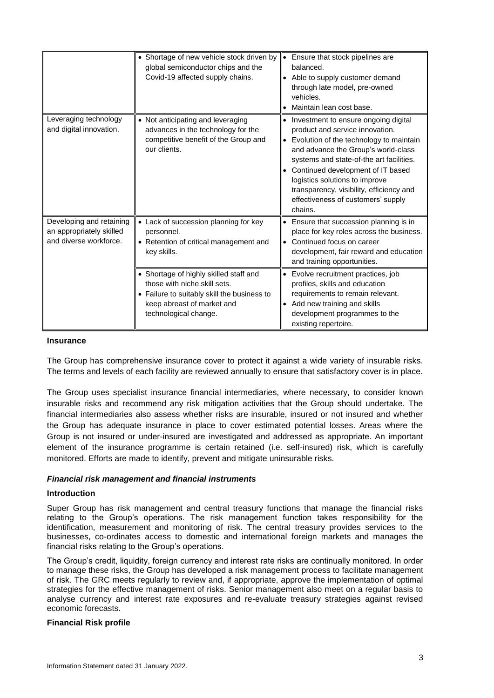|                                                                                | • Shortage of new vehicle stock driven by<br>global semiconductor chips and the<br>Covid-19 affected supply chains.                                                          | Ensure that stock pipelines are<br>۱۰<br>balanced.<br>Able to supply customer demand<br>through late model, pre-owned<br>vehicles.<br>Maintain lean cost base.                                                                                                                                                                                                            |
|--------------------------------------------------------------------------------|------------------------------------------------------------------------------------------------------------------------------------------------------------------------------|---------------------------------------------------------------------------------------------------------------------------------------------------------------------------------------------------------------------------------------------------------------------------------------------------------------------------------------------------------------------------|
| Leveraging technology<br>and digital innovation.                               | • Not anticipating and leveraging<br>advances in the technology for the<br>competitive benefit of the Group and<br>our clients.                                              | Investment to ensure ongoing digital<br>product and service innovation.<br>Evolution of the technology to maintain<br>and advance the Group's world-class<br>systems and state-of-the art facilities.<br>Continued development of IT based<br>logistics solutions to improve<br>transparency, visibility, efficiency and<br>effectiveness of customers' supply<br>chains. |
| Developing and retaining<br>an appropriately skilled<br>and diverse workforce. | • Lack of succession planning for key<br>personnel.<br>• Retention of critical management and<br>key skills.                                                                 | Ensure that succession planning is in<br>place for key roles across the business.<br>Continued focus on career<br>development, fair reward and education<br>and training opportunities.                                                                                                                                                                                   |
|                                                                                | • Shortage of highly skilled staff and<br>those with niche skill sets.<br>• Failure to suitably skill the business to<br>keep abreast of market and<br>technological change. | Evolve recruitment practices, job<br>profiles, skills and education<br>requirements to remain relevant.<br>Add new training and skills<br>development programmes to the<br>existing repertoire.                                                                                                                                                                           |

## **Insurance**

The Group has comprehensive insurance cover to protect it against a wide variety of insurable risks. The terms and levels of each facility are reviewed annually to ensure that satisfactory cover is in place.

The Group uses specialist insurance financial intermediaries, where necessary, to consider known insurable risks and recommend any risk mitigation activities that the Group should undertake. The financial intermediaries also assess whether risks are insurable, insured or not insured and whether the Group has adequate insurance in place to cover estimated potential losses. Areas where the Group is not insured or under-insured are investigated and addressed as appropriate. An important element of the insurance programme is certain retained (i.e. self-insured) risk, which is carefully monitored. Efforts are made to identify, prevent and mitigate uninsurable risks.

## *Financial risk management and financial instruments*

## **Introduction**

Super Group has risk management and central treasury functions that manage the financial risks relating to the Group's operations. The risk management function takes responsibility for the identification, measurement and monitoring of risk. The central treasury provides services to the businesses, co-ordinates access to domestic and international foreign markets and manages the financial risks relating to the Group's operations.

The Group's credit, liquidity, foreign currency and interest rate risks are continually monitored. In order to manage these risks, the Group has developed a risk management process to facilitate management of risk. The GRC meets regularly to review and, if appropriate, approve the implementation of optimal strategies for the effective management of risks. Senior management also meet on a regular basis to analyse currency and interest rate exposures and re-evaluate treasury strategies against revised economic forecasts.

## **Financial Risk profile**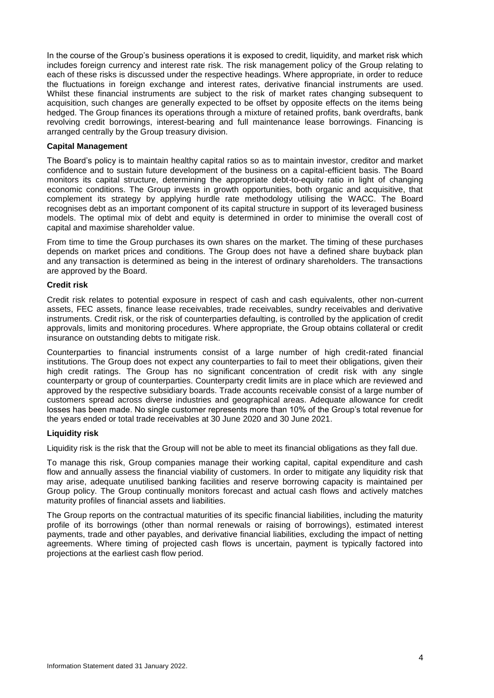In the course of the Group's business operations it is exposed to credit, liquidity, and market risk which includes foreign currency and interest rate risk. The risk management policy of the Group relating to each of these risks is discussed under the respective headings. Where appropriate, in order to reduce the fluctuations in foreign exchange and interest rates, derivative financial instruments are used. Whilst these financial instruments are subject to the risk of market rates changing subsequent to acquisition, such changes are generally expected to be offset by opposite effects on the items being hedged. The Group finances its operations through a mixture of retained profits, bank overdrafts, bank revolving credit borrowings, interest-bearing and full maintenance lease borrowings. Financing is arranged centrally by the Group treasury division.

#### **Capital Management**

The Board's policy is to maintain healthy capital ratios so as to maintain investor, creditor and market confidence and to sustain future development of the business on a capital-efficient basis. The Board monitors its capital structure, determining the appropriate debt-to-equity ratio in light of changing economic conditions. The Group invests in growth opportunities, both organic and acquisitive, that complement its strategy by applying hurdle rate methodology utilising the WACC. The Board recognises debt as an important component of its capital structure in support of its leveraged business models. The optimal mix of debt and equity is determined in order to minimise the overall cost of capital and maximise shareholder value.

From time to time the Group purchases its own shares on the market. The timing of these purchases depends on market prices and conditions. The Group does not have a defined share buyback plan and any transaction is determined as being in the interest of ordinary shareholders. The transactions are approved by the Board.

#### **Credit risk**

Credit risk relates to potential exposure in respect of cash and cash equivalents, other non-current assets, FEC assets, finance lease receivables, trade receivables, sundry receivables and derivative instruments. Credit risk, or the risk of counterparties defaulting, is controlled by the application of credit approvals, limits and monitoring procedures. Where appropriate, the Group obtains collateral or credit insurance on outstanding debts to mitigate risk.

Counterparties to financial instruments consist of a large number of high credit-rated financial institutions. The Group does not expect any counterparties to fail to meet their obligations, given their high credit ratings. The Group has no significant concentration of credit risk with any single counterparty or group of counterparties. Counterparty credit limits are in place which are reviewed and approved by the respective subsidiary boards. Trade accounts receivable consist of a large number of customers spread across diverse industries and geographical areas. Adequate allowance for credit losses has been made. No single customer represents more than 10% of the Group's total revenue for the years ended or total trade receivables at 30 June 2020 and 30 June 2021.

#### **Liquidity risk**

Liquidity risk is the risk that the Group will not be able to meet its financial obligations as they fall due.

To manage this risk, Group companies manage their working capital, capital expenditure and cash flow and annually assess the financial viability of customers. In order to mitigate any liquidity risk that may arise, adequate unutilised banking facilities and reserve borrowing capacity is maintained per Group policy. The Group continually monitors forecast and actual cash flows and actively matches maturity profiles of financial assets and liabilities.

The Group reports on the contractual maturities of its specific financial liabilities, including the maturity profile of its borrowings (other than normal renewals or raising of borrowings), estimated interest payments, trade and other payables, and derivative financial liabilities, excluding the impact of netting agreements. Where timing of projected cash flows is uncertain, payment is typically factored into projections at the earliest cash flow period.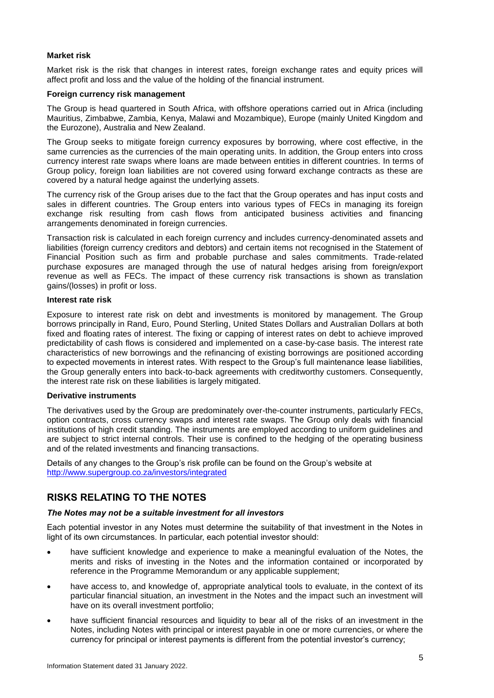## **Market risk**

Market risk is the risk that changes in interest rates, foreign exchange rates and equity prices will affect profit and loss and the value of the holding of the financial instrument.

## **Foreign currency risk management**

The Group is head quartered in South Africa, with offshore operations carried out in Africa (including Mauritius, Zimbabwe, Zambia, Kenya, Malawi and Mozambique), Europe (mainly United Kingdom and the Eurozone), Australia and New Zealand.

The Group seeks to mitigate foreign currency exposures by borrowing, where cost effective, in the same currencies as the currencies of the main operating units. In addition, the Group enters into cross currency interest rate swaps where loans are made between entities in different countries. In terms of Group policy, foreign loan liabilities are not covered using forward exchange contracts as these are covered by a natural hedge against the underlying assets.

The currency risk of the Group arises due to the fact that the Group operates and has input costs and sales in different countries. The Group enters into various types of FECs in managing its foreign exchange risk resulting from cash flows from anticipated business activities and financing arrangements denominated in foreign currencies.

Transaction risk is calculated in each foreign currency and includes currency-denominated assets and liabilities (foreign currency creditors and debtors) and certain items not recognised in the Statement of Financial Position such as firm and probable purchase and sales commitments. Trade-related purchase exposures are managed through the use of natural hedges arising from foreign/export revenue as well as FECs. The impact of these currency risk transactions is shown as translation gains/(losses) in profit or loss.

#### **Interest rate risk**

Exposure to interest rate risk on debt and investments is monitored by management. The Group borrows principally in Rand, Euro, Pound Sterling, United States Dollars and Australian Dollars at both fixed and floating rates of interest. The fixing or capping of interest rates on debt to achieve improved predictability of cash flows is considered and implemented on a case-by-case basis. The interest rate characteristics of new borrowings and the refinancing of existing borrowings are positioned according to expected movements in interest rates. With respect to the Group's full maintenance lease liabilities, the Group generally enters into back-to-back agreements with creditworthy customers. Consequently, the interest rate risk on these liabilities is largely mitigated.

## **Derivative instruments**

The derivatives used by the Group are predominately over-the-counter instruments, particularly FECs, option contracts, cross currency swaps and interest rate swaps. The Group only deals with financial institutions of high credit standing. The instruments are employed according to uniform guidelines and are subject to strict internal controls. Their use is confined to the hedging of the operating business and of the related investments and financing transactions.

Details of any changes to the Group's risk profile can be found on the Group's website at <http://www.supergroup.co.za/investors/integrated>

## **RISKS RELATING TO THE NOTES**

## *The Notes may not be a suitable investment for all investors*

Each potential investor in any Notes must determine the suitability of that investment in the Notes in light of its own circumstances. In particular, each potential investor should:

- have sufficient knowledge and experience to make a meaningful evaluation of the Notes, the merits and risks of investing in the Notes and the information contained or incorporated by reference in the Programme Memorandum or any applicable supplement;
- have access to, and knowledge of, appropriate analytical tools to evaluate, in the context of its particular financial situation, an investment in the Notes and the impact such an investment will have on its overall investment portfolio;
- have sufficient financial resources and liquidity to bear all of the risks of an investment in the Notes, including Notes with principal or interest payable in one or more currencies, or where the currency for principal or interest payments is different from the potential investor's currency;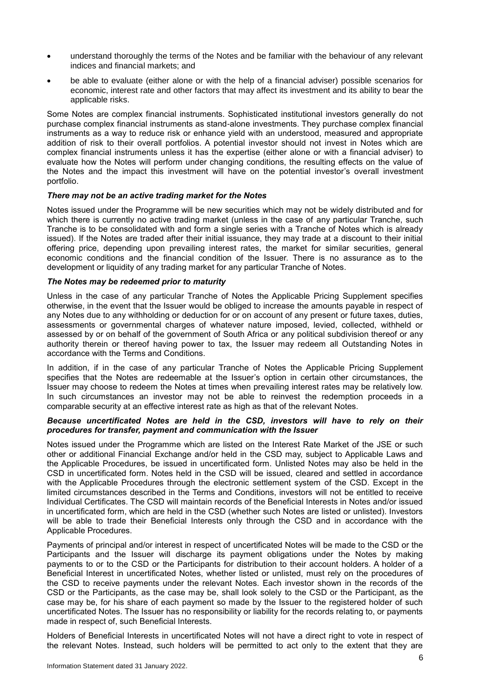- understand thoroughly the terms of the Notes and be familiar with the behaviour of any relevant indices and financial markets; and
- be able to evaluate (either alone or with the help of a financial adviser) possible scenarios for economic, interest rate and other factors that may affect its investment and its ability to bear the applicable risks.

Some Notes are complex financial instruments. Sophisticated institutional investors generally do not purchase complex financial instruments as stand-alone investments. They purchase complex financial instruments as a way to reduce risk or enhance yield with an understood, measured and appropriate addition of risk to their overall portfolios. A potential investor should not invest in Notes which are complex financial instruments unless it has the expertise (either alone or with a financial adviser) to evaluate how the Notes will perform under changing conditions, the resulting effects on the value of the Notes and the impact this investment will have on the potential investor's overall investment portfolio.

## *There may not be an active trading market for the Notes*

Notes issued under the Programme will be new securities which may not be widely distributed and for which there is currently no active trading market (unless in the case of any particular Tranche, such Tranche is to be consolidated with and form a single series with a Tranche of Notes which is already issued). If the Notes are traded after their initial issuance, they may trade at a discount to their initial offering price, depending upon prevailing interest rates, the market for similar securities, general economic conditions and the financial condition of the Issuer. There is no assurance as to the development or liquidity of any trading market for any particular Tranche of Notes.

## *The Notes may be redeemed prior to maturity*

Unless in the case of any particular Tranche of Notes the Applicable Pricing Supplement specifies otherwise, in the event that the Issuer would be obliged to increase the amounts payable in respect of any Notes due to any withholding or deduction for or on account of any present or future taxes, duties, assessments or governmental charges of whatever nature imposed, levied, collected, withheld or assessed by or on behalf of the government of South Africa or any political subdivision thereof or any authority therein or thereof having power to tax, the Issuer may redeem all Outstanding Notes in accordance with the Terms and Conditions.

In addition, if in the case of any particular Tranche of Notes the Applicable Pricing Supplement specifies that the Notes are redeemable at the Issuer's option in certain other circumstances, the Issuer may choose to redeem the Notes at times when prevailing interest rates may be relatively low. In such circumstances an investor may not be able to reinvest the redemption proceeds in a comparable security at an effective interest rate as high as that of the relevant Notes.

## *Because uncertificated Notes are held in the CSD, investors will have to rely on their procedures for transfer, payment and communication with the Issuer*

Notes issued under the Programme which are listed on the Interest Rate Market of the JSE or such other or additional Financial Exchange and/or held in the CSD may, subject to Applicable Laws and the Applicable Procedures, be issued in uncertificated form. Unlisted Notes may also be held in the CSD in uncertificated form. Notes held in the CSD will be issued, cleared and settled in accordance with the Applicable Procedures through the electronic settlement system of the CSD. Except in the limited circumstances described in the Terms and Conditions, investors will not be entitled to receive Individual Certificates. The CSD will maintain records of the Beneficial Interests in Notes and/or issued in uncertificated form, which are held in the CSD (whether such Notes are listed or unlisted). Investors will be able to trade their Beneficial Interests only through the CSD and in accordance with the Applicable Procedures.

Payments of principal and/or interest in respect of uncertificated Notes will be made to the CSD or the Participants and the Issuer will discharge its payment obligations under the Notes by making payments to or to the CSD or the Participants for distribution to their account holders. A holder of a Beneficial Interest in uncertificated Notes, whether listed or unlisted, must rely on the procedures of the CSD to receive payments under the relevant Notes. Each investor shown in the records of the CSD or the Participants, as the case may be, shall look solely to the CSD or the Participant, as the case may be, for his share of each payment so made by the Issuer to the registered holder of such uncertificated Notes. The Issuer has no responsibility or liability for the records relating to, or payments made in respect of, such Beneficial Interests.

Holders of Beneficial Interests in uncertificated Notes will not have a direct right to vote in respect of the relevant Notes. Instead, such holders will be permitted to act only to the extent that they are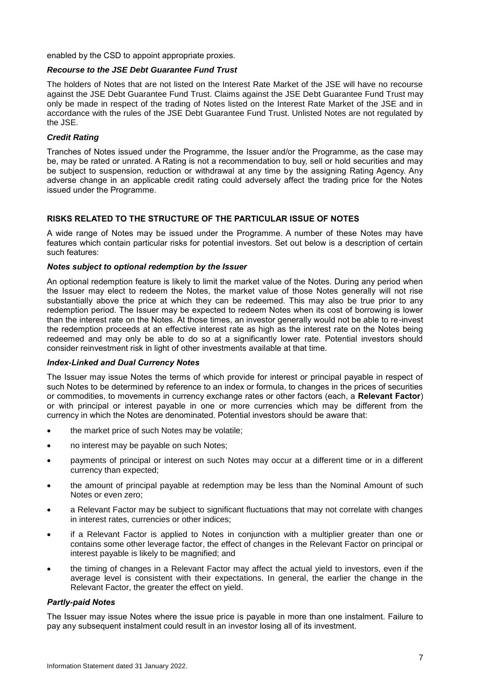enabled by the CSD to appoint appropriate proxies.

## *Recourse to the JSE Debt Guarantee Fund Trust*

The holders of Notes that are not listed on the Interest Rate Market of the JSE will have no recourse against the JSE Debt Guarantee Fund Trust. Claims against the JSE Debt Guarantee Fund Trust may only be made in respect of the trading of Notes listed on the Interest Rate Market of the JSE and in accordance with the rules of the JSE Debt Guarantee Fund Trust. Unlisted Notes are not regulated by the JSE.

## *Credit Rating*

Tranches of Notes issued under the Programme, the Issuer and/or the Programme, as the case may be, may be rated or unrated. A Rating is not a recommendation to buy, sell or hold securities and may be subject to suspension, reduction or withdrawal at any time by the assigning Rating Agency. Any adverse change in an applicable credit rating could adversely affect the trading price for the Notes issued under the Programme.

## **RISKS RELATED TO THE STRUCTURE OF THE PARTICULAR ISSUE OF NOTES**

A wide range of Notes may be issued under the Programme. A number of these Notes may have features which contain particular risks for potential investors. Set out below is a description of certain such features:

## *Notes subject to optional redemption by the Issuer*

An optional redemption feature is likely to limit the market value of the Notes. During any period when the Issuer may elect to redeem the Notes, the market value of those Notes generally will not rise substantially above the price at which they can be redeemed. This may also be true prior to any redemption period. The Issuer may be expected to redeem Notes when its cost of borrowing is lower than the interest rate on the Notes. At those times, an investor generally would not be able to re-invest the redemption proceeds at an effective interest rate as high as the interest rate on the Notes being redeemed and may only be able to do so at a significantly lower rate. Potential investors should consider reinvestment risk in light of other investments available at that time.

## *Index-Linked and Dual Currency Notes*

The Issuer may issue Notes the terms of which provide for interest or principal payable in respect of such Notes to be determined by reference to an index or formula, to changes in the prices of securities or commodities, to movements in currency exchange rates or other factors (each, a **Relevant Factor**) or with principal or interest payable in one or more currencies which may be different from the currency in which the Notes are denominated. Potential investors should be aware that:

- the market price of such Notes may be volatile;
- no interest may be payable on such Notes;
- payments of principal or interest on such Notes may occur at a different time or in a different currency than expected;
- the amount of principal payable at redemption may be less than the Nominal Amount of such Notes or even zero;
- a Relevant Factor may be subject to significant fluctuations that may not correlate with changes in interest rates, currencies or other indices;
- if a Relevant Factor is applied to Notes in conjunction with a multiplier greater than one or contains some other leverage factor, the effect of changes in the Relevant Factor on principal or interest payable is likely to be magnified; and
- the timing of changes in a Relevant Factor may affect the actual yield to investors, even if the average level is consistent with their expectations. In general, the earlier the change in the Relevant Factor, the greater the effect on yield.

## *Partly-paid Notes*

The Issuer may issue Notes where the issue price is payable in more than one instalment. Failure to pay any subsequent instalment could result in an investor losing all of its investment.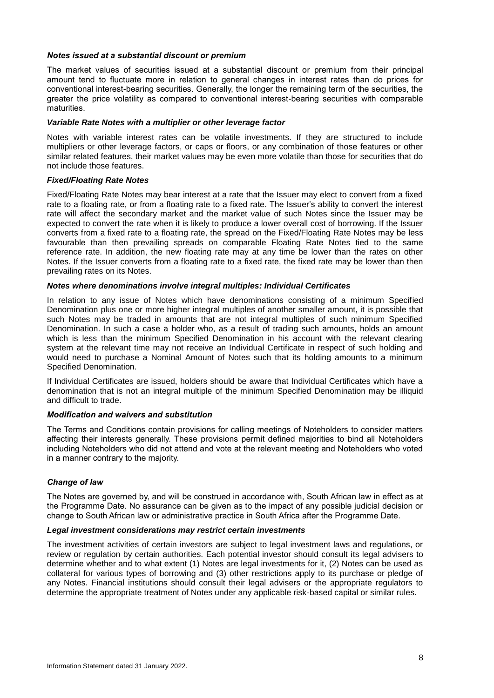## *Notes issued at a substantial discount or premium*

The market values of securities issued at a substantial discount or premium from their principal amount tend to fluctuate more in relation to general changes in interest rates than do prices for conventional interest-bearing securities. Generally, the longer the remaining term of the securities, the greater the price volatility as compared to conventional interest-bearing securities with comparable maturities.

## *Variable Rate Notes with a multiplier or other leverage factor*

Notes with variable interest rates can be volatile investments. If they are structured to include multipliers or other leverage factors, or caps or floors, or any combination of those features or other similar related features, their market values may be even more volatile than those for securities that do not include those features.

## *Fixed/Floating Rate Notes*

Fixed/Floating Rate Notes may bear interest at a rate that the Issuer may elect to convert from a fixed rate to a floating rate, or from a floating rate to a fixed rate. The Issuer's ability to convert the interest rate will affect the secondary market and the market value of such Notes since the Issuer may be expected to convert the rate when it is likely to produce a lower overall cost of borrowing. If the Issuer converts from a fixed rate to a floating rate, the spread on the Fixed/Floating Rate Notes may be less favourable than then prevailing spreads on comparable Floating Rate Notes tied to the same reference rate. In addition, the new floating rate may at any time be lower than the rates on other Notes. If the Issuer converts from a floating rate to a fixed rate, the fixed rate may be lower than then prevailing rates on its Notes.

## *Notes where denominations involve integral multiples: Individual Certificates*

In relation to any issue of Notes which have denominations consisting of a minimum Specified Denomination plus one or more higher integral multiples of another smaller amount, it is possible that such Notes may be traded in amounts that are not integral multiples of such minimum Specified Denomination. In such a case a holder who, as a result of trading such amounts, holds an amount which is less than the minimum Specified Denomination in his account with the relevant clearing system at the relevant time may not receive an Individual Certificate in respect of such holding and would need to purchase a Nominal Amount of Notes such that its holding amounts to a minimum Specified Denomination.

If Individual Certificates are issued, holders should be aware that Individual Certificates which have a denomination that is not an integral multiple of the minimum Specified Denomination may be illiquid and difficult to trade.

## *Modification and waivers and substitution*

The Terms and Conditions contain provisions for calling meetings of Noteholders to consider matters affecting their interests generally. These provisions permit defined majorities to bind all Noteholders including Noteholders who did not attend and vote at the relevant meeting and Noteholders who voted in a manner contrary to the majority.

## *Change of law*

The Notes are governed by, and will be construed in accordance with, South African law in effect as at the Programme Date. No assurance can be given as to the impact of any possible judicial decision or change to South African law or administrative practice in South Africa after the Programme Date.

## *Legal investment considerations may restrict certain investments*

The investment activities of certain investors are subject to legal investment laws and regulations, or review or regulation by certain authorities. Each potential investor should consult its legal advisers to determine whether and to what extent (1) Notes are legal investments for it, (2) Notes can be used as collateral for various types of borrowing and (3) other restrictions apply to its purchase or pledge of any Notes. Financial institutions should consult their legal advisers or the appropriate regulators to determine the appropriate treatment of Notes under any applicable risk-based capital or similar rules.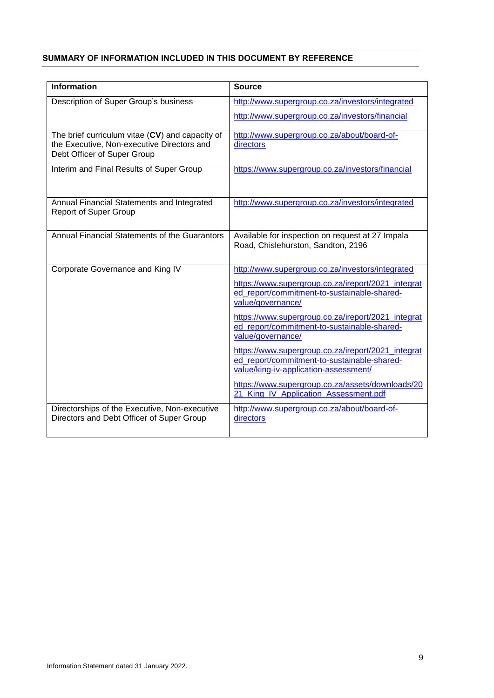## <span id="page-13-0"></span>**SUMMARY OF INFORMATION INCLUDED IN THIS DOCUMENT BY REFERENCE**

| <b>Information</b>                                                                         | <b>Source</b>                                                                          |
|--------------------------------------------------------------------------------------------|----------------------------------------------------------------------------------------|
| Description of Super Group's business                                                      | http://www.supergroup.co.za/investors/integrated                                       |
|                                                                                            | http://www.supergroup.co.za/investors/financial                                        |
| The brief curriculum vitae (CV) and capacity of                                            | http://www.supergroup.co.za/about/board-of-                                            |
| the Executive, Non-executive Directors and<br>Debt Officer of Super Group                  | directors                                                                              |
| Interim and Final Results of Super Group                                                   | https://www.supergroup.co.za/investors/financial                                       |
|                                                                                            |                                                                                        |
| Annual Financial Statements and Integrated<br><b>Report of Super Group</b>                 | http://www.supergroup.co.za/investors/integrated                                       |
|                                                                                            |                                                                                        |
| Annual Financial Statements of the Guarantors                                              | Available for inspection on request at 27 Impala<br>Road, Chislehurston, Sandton, 2196 |
|                                                                                            |                                                                                        |
| Corporate Governance and King IV                                                           | http://www.supergroup.co.za/investors/integrated                                       |
|                                                                                            | https://www.supergroup.co.za/ireport/2021_integrat                                     |
|                                                                                            | ed_report/commitment-to-sustainable-shared-<br>value/governance/                       |
|                                                                                            | https://www.supergroup.co.za/ireport/2021_integrat                                     |
|                                                                                            | ed_report/commitment-to-sustainable-shared-<br>value/governance/                       |
|                                                                                            | https://www.supergroup.co.za/ireport/2021 integrat                                     |
|                                                                                            | ed_report/commitment-to-sustainable-shared-<br>value/king-iv-application-assessment/   |
|                                                                                            | https://www.supergroup.co.za/assets/downloads/20                                       |
|                                                                                            | 21 King IV Application Assessment.pdf                                                  |
| Directorships of the Executive, Non-executive<br>Directors and Debt Officer of Super Group | http://www.supergroup.co.za/about/board-of-<br>directors                               |
|                                                                                            |                                                                                        |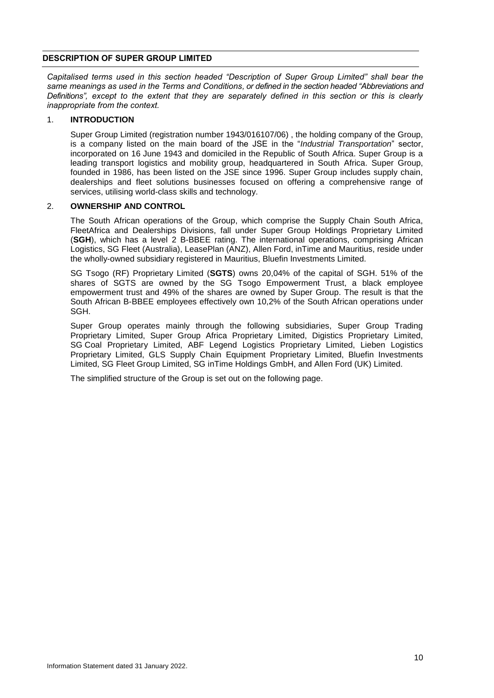## <span id="page-14-0"></span>**DESCRIPTION OF SUPER GROUP LIMITED**

*Capitalised terms used in this section headed "Description of Super Group Limited" shall bear the same meanings as used in the Terms and Conditions, or defined in the section headed "Abbreviations and Definitions", except to the extent that they are separately defined in this section or this is clearly inappropriate from the context.*

## 1. **INTRODUCTION**

Super Group Limited (registration number 1943/016107/06) , the holding company of the Group, is a company listed on the main board of the JSE in the "*Industrial Transportation*" sector, incorporated on 16 June 1943 and domiciled in the Republic of South Africa. Super Group is a leading transport logistics and mobility group, headquartered in South Africa. Super Group, founded in 1986, has been listed on the JSE since 1996. Super Group includes supply chain, dealerships and fleet solutions businesses focused on offering a comprehensive range of services, utilising world-class skills and technology.

## 2. **OWNERSHIP AND CONTROL**

The South African operations of the Group, which comprise the Supply Chain South Africa, FleetAfrica and Dealerships Divisions, fall under Super Group Holdings Proprietary Limited (**SGH**), which has a level 2 B-BBEE rating. The international operations, comprising African Logistics, SG Fleet (Australia), LeasePlan (ANZ), Allen Ford, inTime and Mauritius, reside under the wholly-owned subsidiary registered in Mauritius, Bluefin Investments Limited.

SG Tsogo (RF) Proprietary Limited (**SGTS**) owns 20,04% of the capital of SGH. 51% of the shares of SGTS are owned by the SG Tsogo Empowerment Trust, a black employee empowerment trust and 49% of the shares are owned by Super Group. The result is that the South African B-BBEE employees effectively own 10,2% of the South African operations under SGH.

Super Group operates mainly through the following subsidiaries, Super Group Trading Proprietary Limited, Super Group Africa Proprietary Limited, Digistics Proprietary Limited, SG Coal Proprietary Limited, ABF Legend Logistics Proprietary Limited, Lieben Logistics Proprietary Limited, GLS Supply Chain Equipment Proprietary Limited, Bluefin Investments Limited, SG Fleet Group Limited, SG inTime Holdings GmbH, and Allen Ford (UK) Limited.

The simplified structure of the Group is set out on the following page.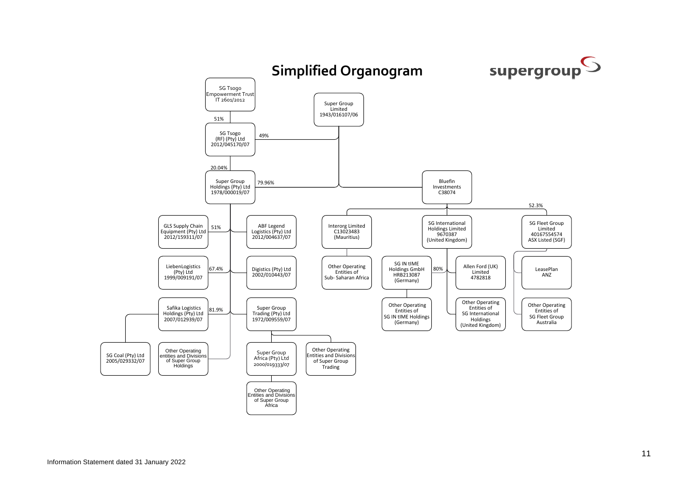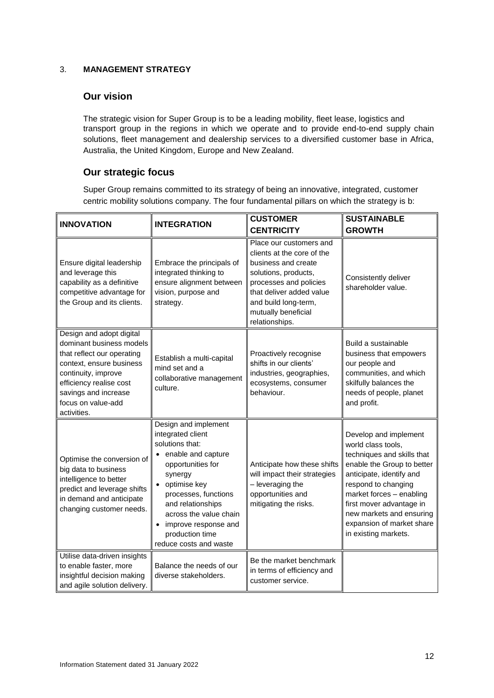## 3. **MANAGEMENT STRATEGY**

## **Our vision**

The strategic vision for Super Group is to be a leading mobility, fleet lease, logistics and transport group in the regions in which we operate and to provide end-to-end supply chain solutions, fleet management and dealership services to a diversified customer base in Africa, Australia, the United Kingdom, Europe and New Zealand.

## **Our strategic focus**

Super Group remains committed to its strategy of being an innovative, integrated, customer centric mobility solutions company. The four fundamental pillars on which the strategy is b:

| <b>INNOVATION</b>                                                                                                                                                                                                             | <b>INTEGRATION</b>                                                                                                                                                                                                                                                             | <b>CUSTOMER</b>                                                                                                                                                                                                             | <b>SUSTAINABLE</b>                                                                                                                                                                                                                                                                                  |
|-------------------------------------------------------------------------------------------------------------------------------------------------------------------------------------------------------------------------------|--------------------------------------------------------------------------------------------------------------------------------------------------------------------------------------------------------------------------------------------------------------------------------|-----------------------------------------------------------------------------------------------------------------------------------------------------------------------------------------------------------------------------|-----------------------------------------------------------------------------------------------------------------------------------------------------------------------------------------------------------------------------------------------------------------------------------------------------|
|                                                                                                                                                                                                                               |                                                                                                                                                                                                                                                                                | <b>CENTRICITY</b>                                                                                                                                                                                                           | <b>GROWTH</b>                                                                                                                                                                                                                                                                                       |
| Ensure digital leadership<br>and leverage this<br>capability as a definitive<br>competitive advantage for<br>the Group and its clients.                                                                                       | Embrace the principals of<br>integrated thinking to<br>ensure alignment between<br>vision, purpose and<br>strategy.                                                                                                                                                            | Place our customers and<br>clients at the core of the<br>business and create<br>solutions, products,<br>processes and policies<br>that deliver added value<br>and build long-term,<br>mutually beneficial<br>relationships. | Consistently deliver<br>shareholder value.                                                                                                                                                                                                                                                          |
| Design and adopt digital<br>dominant business models<br>that reflect our operating<br>context, ensure business<br>continuity, improve<br>efficiency realise cost<br>savings and increase<br>focus on value-add<br>activities. | Establish a multi-capital<br>mind set and a<br>collaborative management<br>culture.                                                                                                                                                                                            | Proactively recognise<br>shifts in our clients'<br>industries, geographies,<br>ecosystems, consumer<br>behaviour.                                                                                                           | Build a sustainable<br>business that empowers<br>our people and<br>communities, and which<br>skilfully balances the<br>needs of people, planet<br>and profit.                                                                                                                                       |
| Optimise the conversion of<br>big data to business<br>intelligence to better<br>predict and leverage shifts<br>in demand and anticipate<br>changing customer needs.                                                           | Design and implement<br>integrated client<br>solutions that:<br>enable and capture<br>opportunities for<br>synergy<br>optimise key<br>processes, functions<br>and relationships<br>across the value chain<br>improve response and<br>production time<br>reduce costs and waste | Anticipate how these shifts<br>will impact their strategies<br>- leveraging the<br>opportunities and<br>mitigating the risks.                                                                                               | Develop and implement<br>world class tools,<br>techniques and skills that<br>enable the Group to better<br>anticipate, identify and<br>respond to changing<br>market forces - enabling<br>first mover advantage in<br>new markets and ensuring<br>expansion of market share<br>in existing markets. |
| Utilise data-driven insights<br>to enable faster, more<br>insightful decision making<br>and agile solution delivery.                                                                                                          | Balance the needs of our<br>diverse stakeholders.                                                                                                                                                                                                                              | Be the market benchmark<br>in terms of efficiency and<br>customer service.                                                                                                                                                  |                                                                                                                                                                                                                                                                                                     |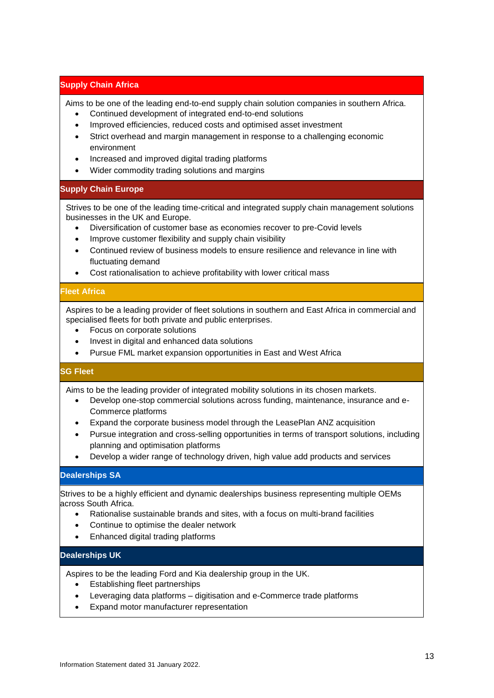## **Supply Chain Africa**

Aims to be one of the leading end-to-end supply chain solution companies in southern Africa.

- Continued development of integrated end-to-end solutions
- Improved efficiencies, reduced costs and optimised asset investment
- Strict overhead and margin management in response to a challenging economic environment
- Increased and improved digital trading platforms
- Wider commodity trading solutions and margins

## **Supply Chain Europe**

Strives to be one of the leading time-critical and integrated supply chain management solutions businesses in the UK and Europe.

- Diversification of customer base as economies recover to pre-Covid levels
- Improve customer flexibility and supply chain visibility
- Continued review of business models to ensure resilience and relevance in line with fluctuating demand
- Cost rationalisation to achieve profitability with lower critical mass

## **Fleet Africa**

Aspires to be a leading provider of fleet solutions in southern and East Africa in commercial and specialised fleets for both private and public enterprises.

- Focus on corporate solutions
- Invest in digital and enhanced data solutions
- Pursue FML market expansion opportunities in East and West Africa

## **SG Fleet**

Aims to be the leading provider of integrated mobility solutions in its chosen markets.

- Develop one-stop commercial solutions across funding, maintenance, insurance and e-Commerce platforms
- Expand the corporate business model through the LeasePlan ANZ acquisition
- Pursue integration and cross-selling opportunities in terms of transport solutions, including planning and optimisation platforms
- Develop a wider range of technology driven, high value add products and services

## **Dealerships SA**

Strives to be a highly efficient and dynamic dealerships business representing multiple OEMs across South Africa.

- Rationalise sustainable brands and sites, with a focus on multi-brand facilities
- Continue to optimise the dealer network
- Enhanced digital trading platforms

## **Dealerships UK**

Aspires to be the leading Ford and Kia dealership group in the UK.

- Establishing fleet partnerships
- Leveraging data platforms digitisation and e-Commerce trade platforms
- Expand motor manufacturer representation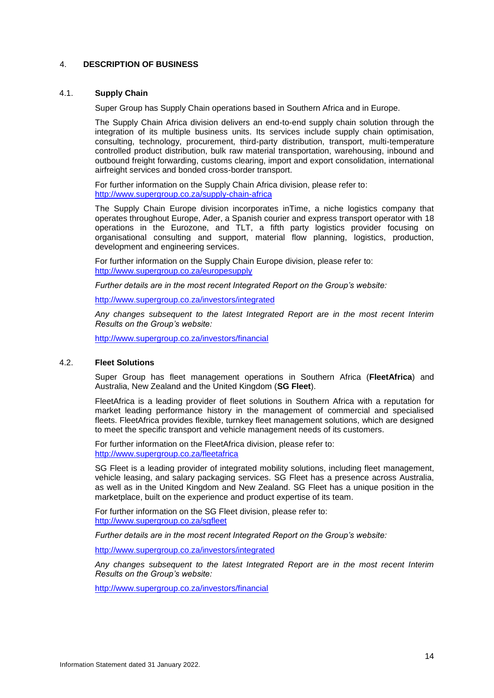## 4. **DESCRIPTION OF BUSINESS**

#### 4.1. **Supply Chain**

Super Group has Supply Chain operations based in Southern Africa and in Europe.

The Supply Chain Africa division delivers an end-to-end supply chain solution through the integration of its multiple business units. Its services include supply chain optimisation, consulting, technology, procurement, third-party distribution, transport, multi-temperature controlled product distribution, bulk raw material transportation, warehousing, inbound and outbound freight forwarding, customs clearing, import and export consolidation, international airfreight services and bonded cross-border transport.

For further information on the Supply Chain Africa division, please refer to: <http://www.supergroup.co.za/supply-chain-africa>

The Supply Chain Europe division incorporates inTime, a niche logistics company that operates throughout Europe, Ader, a Spanish courier and express transport operator with 18 operations in the Eurozone, and TLT, a fifth party logistics provider focusing on organisational consulting and support, material flow planning, logistics, production, development and engineering services.

For further information on the Supply Chain Europe division, please refer to: <http://www.supergroup.co.za/europesupply>

*Further details are in the most recent Integrated Report on the Group's website:*

<http://www.supergroup.co.za/investors/integrated>

*Any changes subsequent to the latest Integrated Report are in the most recent Interim Results on the Group's website:*

<http://www.supergroup.co.za/investors/financial>

## 4.2. **Fleet Solutions**

Super Group has fleet management operations in Southern Africa (**FleetAfrica**) and Australia, New Zealand and the United Kingdom (**SG Fleet**).

FleetAfrica is a leading provider of fleet solutions in Southern Africa with a reputation for market leading performance history in the management of commercial and specialised fleets. FleetAfrica provides flexible, turnkey fleet management solutions, which are designed to meet the specific transport and vehicle management needs of its customers.

For further information on the FleetAfrica division, please refer to: <http://www.supergroup.co.za/fleetafrica>

SG Fleet is a leading provider of integrated mobility solutions, including fleet management, vehicle leasing, and salary packaging services. SG Fleet has a presence across Australia, as well as in the United Kingdom and New Zealand. SG Fleet has a unique position in the marketplace, built on the experience and product expertise of its team.

For further information on the SG Fleet division, please refer to: <http://www.supergroup.co.za/sgfleet>

*Further details are in the most recent Integrated Report on the Group's website:*

<http://www.supergroup.co.za/investors/integrated>

*Any changes subsequent to the latest Integrated Report are in the most recent Interim Results on the Group's website:*

<http://www.supergroup.co.za/investors/financial>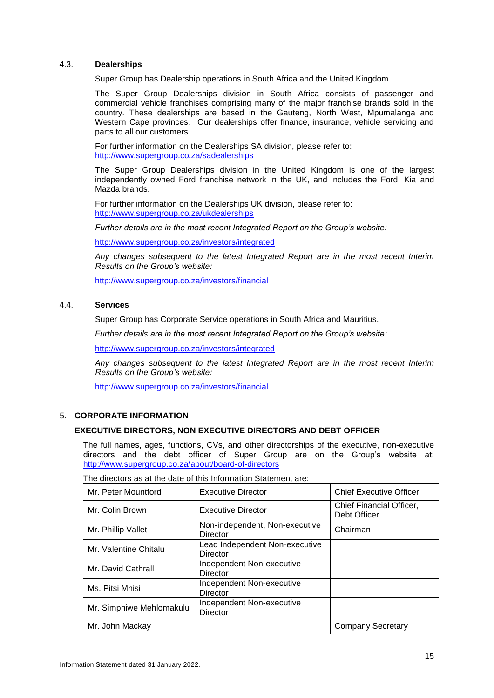## 4.3. **Dealerships**

Super Group has Dealership operations in South Africa and the United Kingdom.

The Super Group Dealerships division in South Africa consists of passenger and commercial vehicle franchises comprising many of the major franchise brands sold in the country. These dealerships are based in the Gauteng, North West, Mpumalanga and Western Cape provinces. Our dealerships offer finance, insurance, vehicle servicing and parts to all our customers.

For further information on the Dealerships SA division, please refer to: <http://www.supergroup.co.za/sadealerships>

The Super Group Dealerships division in the United Kingdom is one of the largest independently owned Ford franchise network in the UK, and includes the Ford, Kia and Mazda brands.

For further information on the Dealerships UK division, please refer to: <http://www.supergroup.co.za/ukdealerships>

*Further details are in the most recent Integrated Report on the Group's website:*

<http://www.supergroup.co.za/investors/integrated>

*Any changes subsequent to the latest Integrated Report are in the most recent Interim Results on the Group's website:*

<http://www.supergroup.co.za/investors/financial>

## 4.4. **Services**

Super Group has Corporate Service operations in South Africa and Mauritius.

*Further details are in the most recent Integrated Report on the Group's website:*

<http://www.supergroup.co.za/investors/integrated>

*Any changes subsequent to the latest Integrated Report are in the most recent Interim Results on the Group's website:*

<http://www.supergroup.co.za/investors/financial>

## 5. **CORPORATE INFORMATION**

## **EXECUTIVE DIRECTORS, NON EXECUTIVE DIRECTORS AND DEBT OFFICER**

The full names, ages, functions, CVs, and other directorships of the executive, non-executive directors and the debt officer of Super Group are on the Group's website at: <http://www.supergroup.co.za/about/board-of-directors>

| Mr. Peter Mountford      | <b>Executive Director</b>                         | <b>Chief Executive Officer</b>           |
|--------------------------|---------------------------------------------------|------------------------------------------|
| Mr. Colin Brown          | <b>Executive Director</b>                         | Chief Financial Officer,<br>Debt Officer |
| Mr. Phillip Vallet       | Non-independent, Non-executive<br>Director        | Chairman                                 |
| Mr. Valentine Chitalu    | Lead Independent Non-executive<br><b>Director</b> |                                          |
| Mr. David Cathrall       | Independent Non-executive<br>Director             |                                          |
| Ms. Pitsi Mnisi          | Independent Non-executive<br><b>Director</b>      |                                          |
| Mr. Simphiwe Mehlomakulu | Independent Non-executive<br><b>Director</b>      |                                          |
| Mr. John Mackay          |                                                   | <b>Company Secretary</b>                 |

The directors as at the date of this Information Statement are: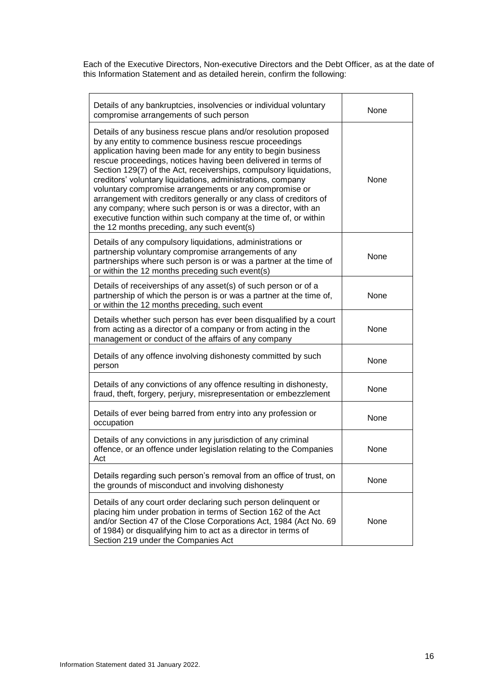Each of the Executive Directors, Non-executive Directors and the Debt Officer, as at the date of this Information Statement and as detailed herein, confirm the following:

| Details of any bankruptcies, insolvencies or individual voluntary<br>compromise arrangements of such person                                                                                                                                                                                                                                                                                                                                                                                                                                                                                                                                                                                                      | None        |
|------------------------------------------------------------------------------------------------------------------------------------------------------------------------------------------------------------------------------------------------------------------------------------------------------------------------------------------------------------------------------------------------------------------------------------------------------------------------------------------------------------------------------------------------------------------------------------------------------------------------------------------------------------------------------------------------------------------|-------------|
| Details of any business rescue plans and/or resolution proposed<br>by any entity to commence business rescue proceedings<br>application having been made for any entity to begin business<br>rescue proceedings, notices having been delivered in terms of<br>Section 129(7) of the Act, receiverships, compulsory liquidations,<br>creditors' voluntary liquidations, administrations, company<br>voluntary compromise arrangements or any compromise or<br>arrangement with creditors generally or any class of creditors of<br>any company; where such person is or was a director, with an<br>executive function within such company at the time of, or within<br>the 12 months preceding, any such event(s) | <b>None</b> |
| Details of any compulsory liquidations, administrations or<br>partnership voluntary compromise arrangements of any<br>partnerships where such person is or was a partner at the time of<br>or within the 12 months preceding such event(s)                                                                                                                                                                                                                                                                                                                                                                                                                                                                       | None        |
| Details of receiverships of any asset(s) of such person or of a<br>partnership of which the person is or was a partner at the time of,<br>or within the 12 months preceding, such event                                                                                                                                                                                                                                                                                                                                                                                                                                                                                                                          | None        |
| Details whether such person has ever been disqualified by a court<br>from acting as a director of a company or from acting in the<br>management or conduct of the affairs of any company                                                                                                                                                                                                                                                                                                                                                                                                                                                                                                                         | None        |
| Details of any offence involving dishonesty committed by such<br>person                                                                                                                                                                                                                                                                                                                                                                                                                                                                                                                                                                                                                                          | None        |
| Details of any convictions of any offence resulting in dishonesty,<br>fraud, theft, forgery, perjury, misrepresentation or embezzlement                                                                                                                                                                                                                                                                                                                                                                                                                                                                                                                                                                          | None        |
| Details of ever being barred from entry into any profession or<br>occupation                                                                                                                                                                                                                                                                                                                                                                                                                                                                                                                                                                                                                                     | None        |
| Details of any convictions in any jurisdiction of any criminal<br>offence, or an offence under legislation relating to the Companies<br>Act                                                                                                                                                                                                                                                                                                                                                                                                                                                                                                                                                                      | None        |
| Details regarding such person's removal from an office of trust, on<br>the grounds of misconduct and involving dishonesty                                                                                                                                                                                                                                                                                                                                                                                                                                                                                                                                                                                        | None        |
| Details of any court order declaring such person delinquent or<br>placing him under probation in terms of Section 162 of the Act<br>and/or Section 47 of the Close Corporations Act, 1984 (Act No. 69<br>of 1984) or disqualifying him to act as a director in terms of<br>Section 219 under the Companies Act                                                                                                                                                                                                                                                                                                                                                                                                   | None        |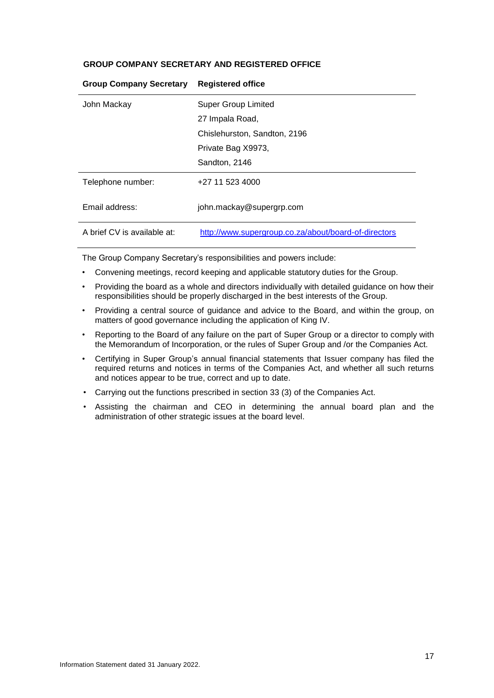## **GROUP COMPANY SECRETARY AND REGISTERED OFFICE**

| John Mackay                 | Super Group Limited                                  |
|-----------------------------|------------------------------------------------------|
|                             | 27 Impala Road,                                      |
|                             | Chislehurston, Sandton, 2196                         |
|                             | Private Bag X9973,                                   |
|                             | Sandton, 2146                                        |
| Telephone number:           | +27 11 523 4000                                      |
| Email address:              | john.mackay@supergrp.com                             |
| A brief CV is available at: | http://www.supergroup.co.za/about/board-of-directors |

## **Group Company Secretary Registered office**

The Group Company Secretary's responsibilities and powers include:

- Convening meetings, record keeping and applicable statutory duties for the Group.
- Providing the board as a whole and directors individually with detailed guidance on how their responsibilities should be properly discharged in the best interests of the Group.
- Providing a central source of guidance and advice to the Board, and within the group, on matters of good governance including the application of King IV.
- Reporting to the Board of any failure on the part of Super Group or a director to comply with the Memorandum of Incorporation, or the rules of Super Group and /or the Companies Act.
- Certifying in Super Group's annual financial statements that Issuer company has filed the required returns and notices in terms of the Companies Act, and whether all such returns and notices appear to be true, correct and up to date.
- Carrying out the functions prescribed in section 33 (3) of the Companies Act.
- Assisting the chairman and CEO in determining the annual board plan and the administration of other strategic issues at the board level.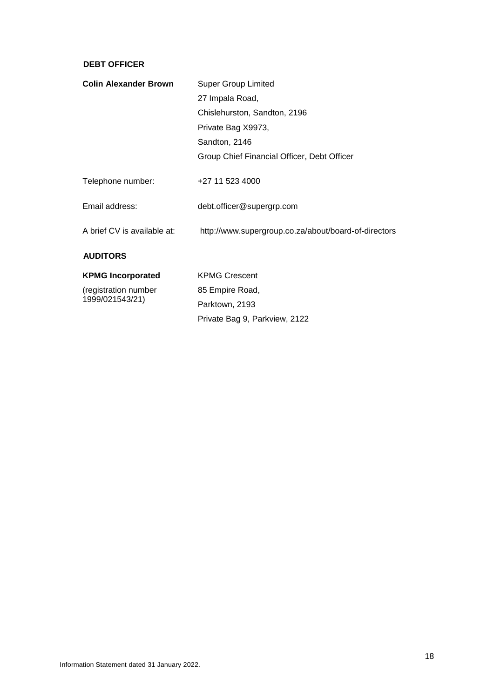## **DEBT OFFICER**

| <b>Colin Alexander Brown</b> | <b>Super Group Limited</b>                           |  |
|------------------------------|------------------------------------------------------|--|
|                              | 27 Impala Road,                                      |  |
|                              | Chislehurston, Sandton, 2196                         |  |
|                              | Private Bag X9973,                                   |  |
|                              | Sandton, 2146                                        |  |
|                              | Group Chief Financial Officer, Debt Officer          |  |
| Telephone number:            | +27 11 523 4000                                      |  |
| Email address:               | debt.officer@supergrp.com                            |  |
| A brief CV is available at:  | http://www.supergroup.co.za/about/board-of-directors |  |
| <b>AUDITORS</b>              |                                                      |  |
| <b>KPMG Incorporated</b>     | <b>KPMG Crescent</b>                                 |  |
| (registration number         | 85 Empire Road,                                      |  |
| 1999/021543/21)              | Parktown, 2193                                       |  |

Private Bag 9, Parkview, 2122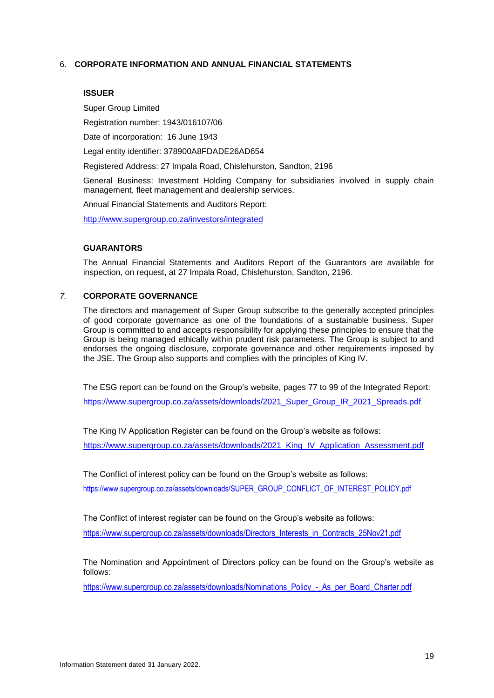## 6. **CORPORATE INFORMATION AND ANNUAL FINANCIAL STATEMENTS**

#### **ISSUER**

Super Group Limited

Registration number: 1943/016107/06

Date of incorporation: 16 June 1943

Legal entity identifier: 378900A8FDADE26AD654

Registered Address: 27 Impala Road, Chislehurston, Sandton, 2196

General Business: Investment Holding Company for subsidiaries involved in supply chain management, fleet management and dealership services.

Annual Financial Statements and Auditors Report:

<http://www.supergroup.co.za/investors/integrated>

#### **GUARANTORS**

The Annual Financial Statements and Auditors Report of the Guarantors are available for inspection, on request, at 27 Impala Road, Chislehurston, Sandton, 2196.

## *7.* **CORPORATE GOVERNANCE**

The directors and management of Super Group subscribe to the generally accepted principles of good corporate governance as one of the foundations of a sustainable business. Super Group is committed to and accepts responsibility for applying these principles to ensure that the Group is being managed ethically within prudent risk parameters. The Group is subject to and endorses the ongoing disclosure, corporate governance and other requirements imposed by the JSE. The Group also supports and complies with the principles of King IV.

The ESG report can be found on the Group's website, pages 77 to 99 of the Integrated Report: [https://www.supergroup.co.za/assets/downloads/2021\\_Super\\_Group\\_IR\\_2021\\_Spreads.pdf](https://www.supergroup.co.za/assets/downloads/2021_Super_Group_IR_2021_Spreads.pdf)

The King IV Application Register can be found on the Group's website as follows: https://www.supergroup.co.za/assets/downloads/2021\_King\_IV\_Application\_Assessment.pdf

The Conflict of interest policy can be found on the Group's website as follows:

https://www.supergroup.co.za/assets/downloads/SUPER\_GROUP\_CONFLICT\_OF\_INTEREST\_POLICY.pdf

The Conflict of interest register can be found on the Group's website as follows:

https://www.supergroup.co.za/assets/downloads/Directors\_Interests\_in\_Contracts\_25Nov21.pdf

The Nomination and Appointment of Directors policy can be found on the Group's website as follows:

https://www.supergroup.co.za/assets/downloads/Nominations\_Policy\_-\_As\_per\_Board\_Charter.pdf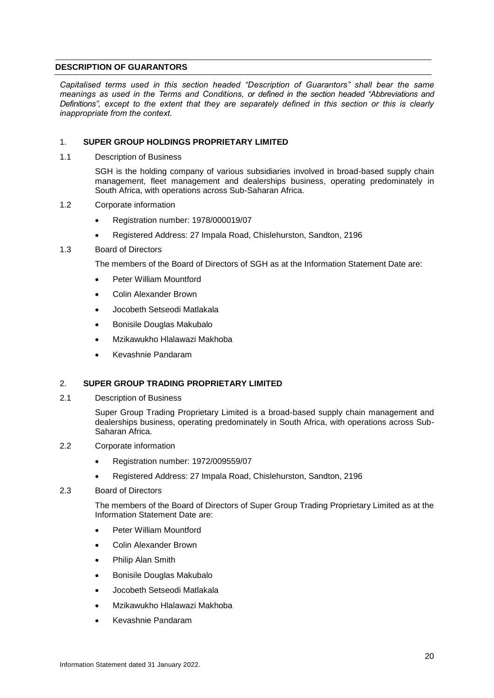## <span id="page-24-0"></span>**DESCRIPTION OF GUARANTORS**

*Capitalised terms used in this section headed "Description of Guarantors" shall bear the same meanings as used in the Terms and Conditions, or defined in the section headed "Abbreviations and Definitions", except to the extent that they are separately defined in this section or this is clearly inappropriate from the context.*

## 1. **SUPER GROUP HOLDINGS PROPRIETARY LIMITED**

1.1 Description of Business

SGH is the holding company of various subsidiaries involved in broad-based supply chain management, fleet management and dealerships business, operating predominately in South Africa, with operations across Sub-Saharan Africa.

- 1.2 Corporate information
	- Registration number: 1978/000019/07
	- Registered Address: 27 Impala Road, Chislehurston, Sandton, 2196

## 1.3 Board of Directors

The members of the Board of Directors of SGH as at the Information Statement Date are:

- Peter William Mountford
- Colin Alexander Brown
- Jocobeth Setseodi Matlakala
- Bonisile Douglas Makubalo
- Mzikawukho Hlalawazi Makhoba
- Kevashnie Pandaram

## 2. **SUPER GROUP TRADING PROPRIETARY LIMITED**

2.1 Description of Business

Super Group Trading Proprietary Limited is a broad-based supply chain management and dealerships business, operating predominately in South Africa, with operations across Sub-Saharan Africa.

- 2.2 Corporate information
	- Registration number: 1972/009559/07
	- Registered Address: 27 Impala Road, Chislehurston, Sandton, 2196

## 2.3 Board of Directors

The members of the Board of Directors of Super Group Trading Proprietary Limited as at the Information Statement Date are:

- Peter William Mountford
- Colin Alexander Brown
- Philip Alan Smith
- Bonisile Douglas Makubalo
- Jocobeth Setseodi Matlakala
- Mzikawukho Hlalawazi Makhoba
- Kevashnie Pandaram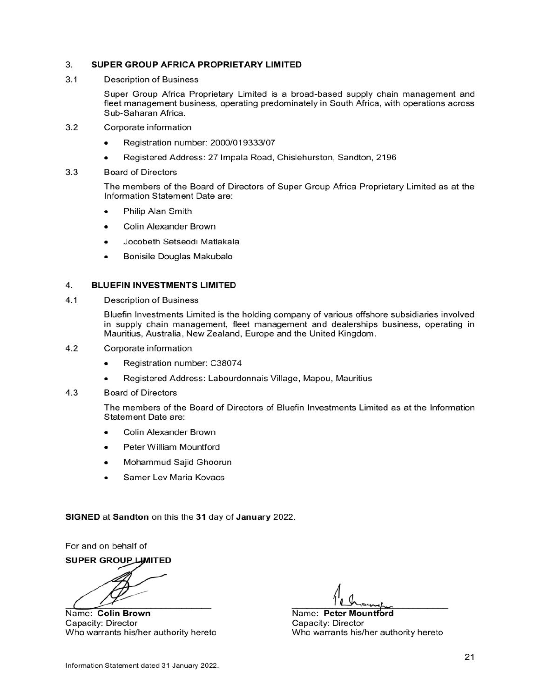#### 3. SUPER GROUP AFRICA PROPRIETARY LIMITED

 $3.1$ **Description of Business** 

> Super Group Africa Proprietary Limited is a broad-based supply chain management and fleet management business, operating predominately in South Africa, with operations across Sub-Saharan Africa.

- $3.2$ Corporate information
	- Registration number: 2000/019333/07
	- Registered Address: 27 Impala Road, Chislehurston, Sandton, 2196
- $3.3$ **Board of Directors**

The members of the Board of Directors of Super Group Africa Proprietary Limited as at the Information Statement Date are:

- Philip Alan Smith  $\bullet$
- Colin Alexander Brown
- Jocobeth Setseodi Matlakala
- Bonisile Douglas Makubalo  $\bullet$

#### 4. **BLUEFIN INVESTMENTS LIMITED**

 $4.1$ **Description of Business** 

> Bluefin Investments Limited is the holding company of various offshore subsidiaries involved in supply chain management, fleet management and dealerships business, operating in Mauritius, Australia, New Zealand, Europe and the United Kingdom.

- $4.2$ Corporate information
	- Registration number: C38074
	- Registered Address: Labourdonnais Village, Mapou, Mauritius
- $4.3$ **Board of Directors**

The members of the Board of Directors of Bluefin Investments Limited as at the Information Statement Date are:

- Colin Alexander Brown
- Peter William Mountford
- Mohammud Sajid Ghoorun
- Samer Lev Maria Kovacs

SIGNED at Sandton on this the 31 day of January 2022.

For and on behalf of

**SUPER GROUP LIMITED** 

Name: Colin Brown Capacity: Director Who warrants his/her authority hereto

Name: Peter Mountford Capacity: Director Who warrants his/her authority hereto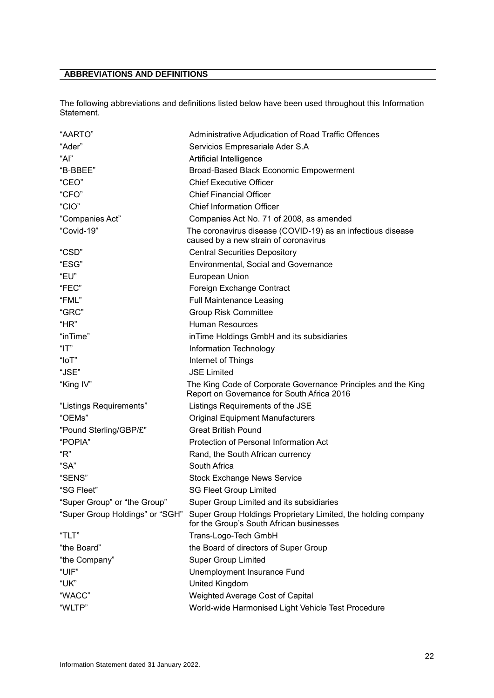# <span id="page-26-0"></span>**ABBREVIATIONS AND DEFINITIONS**

The following abbreviations and definitions listed below have been used throughout this Information Statement.

| "AARTO"                         | Administrative Adjudication of Road Traffic Offences                                                        |
|---------------------------------|-------------------------------------------------------------------------------------------------------------|
| "Ader"                          | Servicios Empresariale Ader S.A                                                                             |
| "Al"                            | Artificial Intelligence                                                                                     |
| "B-BBEE"                        | Broad-Based Black Economic Empowerment                                                                      |
| "CEO"                           | <b>Chief Executive Officer</b>                                                                              |
| "CFO"                           | <b>Chief Financial Officer</b>                                                                              |
| "CIO"                           | <b>Chief Information Officer</b>                                                                            |
| "Companies Act"                 | Companies Act No. 71 of 2008, as amended                                                                    |
| "Covid-19"                      | The coronavirus disease (COVID-19) as an infectious disease<br>caused by a new strain of coronavirus        |
| "CSD"                           | <b>Central Securities Depository</b>                                                                        |
| "ESG"                           | Environmental, Social and Governance                                                                        |
| "EU"                            | European Union                                                                                              |
| "FEC"                           | Foreign Exchange Contract                                                                                   |
| "FML"                           | <b>Full Maintenance Leasing</b>                                                                             |
| "GRC"                           | <b>Group Risk Committee</b>                                                                                 |
| "HR"                            | Human Resources                                                                                             |
| "inTime"                        | in Time Holdings GmbH and its subsidiaries                                                                  |
| "IT"                            | Information Technology                                                                                      |
| " $I$ o $T$ "                   | Internet of Things                                                                                          |
| "JSE"                           | <b>JSE Limited</b>                                                                                          |
| "King IV"                       | The King Code of Corporate Governance Principles and the King<br>Report on Governance for South Africa 2016 |
| "Listings Requirements"         | Listings Requirements of the JSE                                                                            |
| "OEMs"                          | <b>Original Equipment Manufacturers</b>                                                                     |
| "Pound Sterling/GBP/£"          | <b>Great British Pound</b>                                                                                  |
| "POPIA"                         | Protection of Personal Information Act                                                                      |
| "R"                             | Rand, the South African currency                                                                            |
| "SA"                            | South Africa                                                                                                |
| "SENS"                          | <b>Stock Exchange News Service</b>                                                                          |
| "SG Fleet"                      | <b>SG Fleet Group Limited</b>                                                                               |
| "Super Group" or "the Group"    | Super Group Limited and its subsidiaries                                                                    |
| "Super Group Holdings" or "SGH" | Super Group Holdings Proprietary Limited, the holding company<br>for the Group's South African businesses   |
| "TLT"                           | Trans-Logo-Tech GmbH                                                                                        |
| "the Board"                     | the Board of directors of Super Group                                                                       |
| "the Company"                   | <b>Super Group Limited</b>                                                                                  |
| "UIF"                           | Unemployment Insurance Fund                                                                                 |
| "UK"                            | United Kingdom                                                                                              |
| "WACC"                          | Weighted Average Cost of Capital                                                                            |
| "WLTP"                          | World-wide Harmonised Light Vehicle Test Procedure                                                          |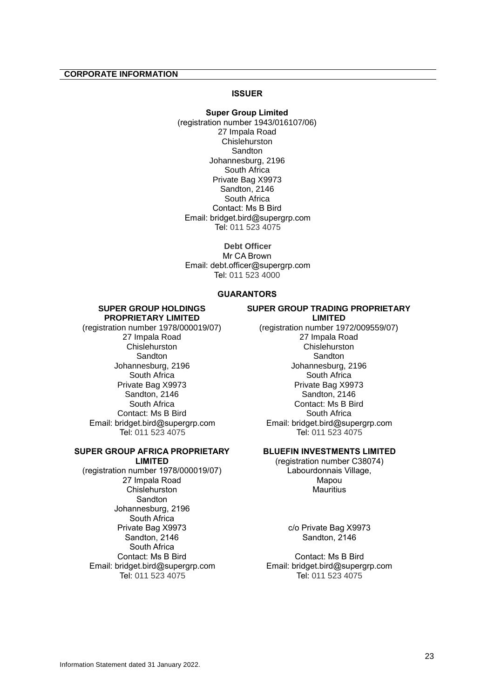## <span id="page-27-0"></span>**CORPORATE INFORMATION**

## **ISSUER**

**Super Group Limited** (registration number 1943/016107/06) 27 Impala Road Chislehurston Sandton Johannesburg, 2196 South Africa Private Bag X9973 Sandton, 2146 South Africa Contact: Ms B Bird Email: bridget.bird@supergrp.com Tel: 011 523 4075

**Debt Officer** Mr CA Brown Email: debt.officer@supergrp.com Tel: 011 523 4000

## **GUARANTORS**

#### **SUPER GROUP HOLDINGS PROPRIETARY LIMITED**

(registration number 1978/000019/07) 27 Impala Road **Chislehurston Sandton** Johannesburg, 2196 South Africa Private Bag X9973 Sandton, 2146 South Africa Contact: Ms B Bird Email: bridget.bird@supergrp.com Tel: 011 523 4075

#### **SUPER GROUP AFRICA PROPRIETARY LIMITED**

(registration number 1978/000019/07) 27 Impala Road Chislehurston Sandton Johannesburg, 2196 South Africa Private Bag X9973 Sandton, 2146 South Africa Contact: Ms B Bird Email: bridget.bird@supergrp.com Tel: 011 523 4075

## **SUPER GROUP TRADING PROPRIETARY LIMITED**

(registration number 1972/009559/07) 27 Impala Road **Chislehurston** Sandton Johannesburg, 2196 South Africa Private Bag X9973 Sandton, 2146 Contact: Ms B Bird South Africa Email: bridget.bird@supergrp.com Tel: 011 523 4075

## **BLUEFIN INVESTMENTS LIMITED**

(registration number C38074) Labourdonnais Village, Mapou **Mauritius** 

> c/o Private Bag X9973 Sandton, 2146

Contact: Ms B Bird Email: bridget.bird@supergrp.com Tel: 011 523 4075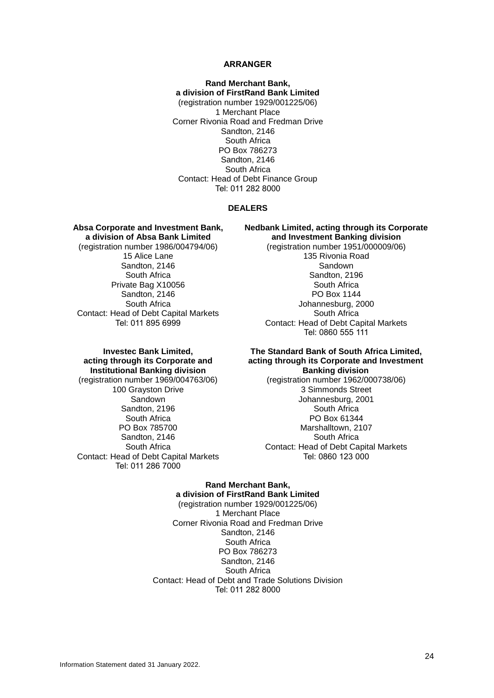#### **ARRANGER**

**Rand Merchant Bank, a division of FirstRand Bank Limited** (registration number 1929/001225/06) 1 Merchant Place Corner Rivonia Road and Fredman Drive Sandton, 2146 South Africa PO Box 786273 Sandton, 2146 South Africa Contact: Head of Debt Finance Group Tel: 011 282 8000

#### **DEALERS**

**Absa Corporate and Investment Bank, a division of Absa Bank Limited** (registration number 1986/004794/06) 15 Alice Lane Sandton, 2146 South Africa Private Bag X10056 Sandton, 2146 South Africa Contact: Head of Debt Capital Markets Tel: 011 895 6999

**Nedbank Limited, acting through its Corporate and Investment Banking division**

> (registration number 1951/000009/06) 135 Rivonia Road Sandown Sandton, 2196 South Africa PO Box 1144 Johannesburg, 2000 South Africa Contact: Head of Debt Capital Markets Tel: 0860 555 111

## **Investec Bank Limited, acting through its Corporate and Institutional Banking division**

(registration number 1969/004763/06) 100 Grayston Drive **Sandown** Sandton, 2196 South Africa PO Box 785700 Sandton, 2146 South Africa Contact: Head of Debt Capital Markets Tel: 011 286 7000

#### **The Standard Bank of South Africa Limited, acting through its Corporate and Investment Banking division**

(registration number 1962/000738/06) 3 Simmonds Street Johannesburg, 2001 South Africa PO Box 61344 Marshalltown, 2107 South Africa Contact: Head of Debt Capital Markets Tel: 0860 123 000

## **Rand Merchant Bank, a division of FirstRand Bank Limited**

(registration number 1929/001225/06) 1 Merchant Place Corner Rivonia Road and Fredman Drive Sandton, 2146 South Africa PO Box 786273 Sandton, 2146 South Africa Contact: Head of Debt and Trade Solutions Division Tel: 011 282 8000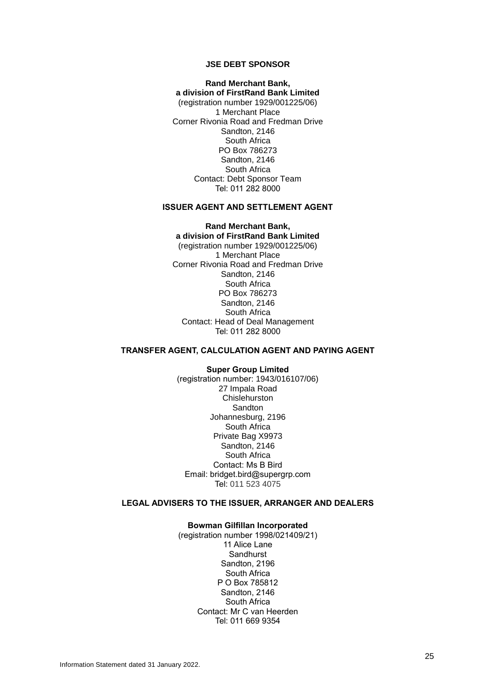#### **JSE DEBT SPONSOR**

#### **Rand Merchant Bank, a division of FirstRand Bank Limited** (registration number 1929/001225/06) 1 Merchant Place

Corner Rivonia Road and Fredman Drive Sandton, 2146 South Africa PO Box 786273 Sandton, 2146 South Africa Contact: Debt Sponsor Team Tel: 011 282 8000

## **ISSUER AGENT AND SETTLEMENT AGENT**

#### **Rand Merchant Bank, a division of FirstRand Bank Limited**

(registration number 1929/001225/06) 1 Merchant Place Corner Rivonia Road and Fredman Drive Sandton, 2146 South Africa PO Box 786273 Sandton, 2146 South Africa Contact: Head of Deal Management Tel: 011 282 8000

## **TRANSFER AGENT, CALCULATION AGENT AND PAYING AGENT**

**Super Group Limited** (registration number: 1943/016107/06) 27 Impala Road Chislehurston **Sandton** Johannesburg, 2196 South Africa Private Bag X9973 Sandton, 2146 South Africa Contact: Ms B Bird Email: bridget.bird@supergrp.com Tel: 011 523 4075

## **LEGAL ADVISERS TO THE ISSUER, ARRANGER AND DEALERS**

#### **Bowman Gilfillan Incorporated**

(registration number 1998/021409/21) 11 Alice Lane **Sandhurst** Sandton, 2196 South Africa P O Box 785812 Sandton, 2146 South Africa Contact: Mr C van Heerden Tel: 011 669 9354